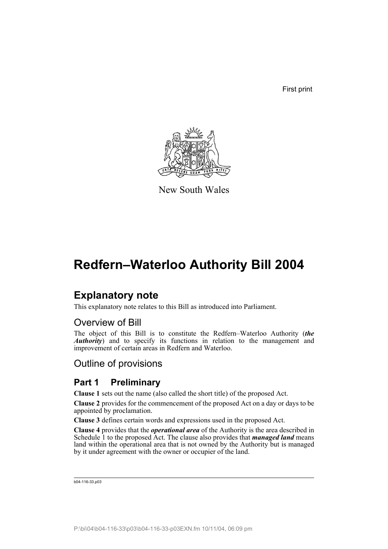First print



New South Wales

## **Redfern–Waterloo Authority Bill 2004**

## **Explanatory note**

This explanatory note relates to this Bill as introduced into Parliament.

## Overview of Bill

The object of this Bill is to constitute the Redfern–Waterloo Authority (*the Authority*) and to specify its functions in relation to the management and improvement of certain areas in Redfern and Waterloo.

## Outline of provisions

## **Part 1 Preliminary**

**Clause 1** sets out the name (also called the short title) of the proposed Act.

**Clause 2** provides for the commencement of the proposed Act on a day or days to be appointed by proclamation.

**Clause 3** defines certain words and expressions used in the proposed Act.

**Clause 4** provides that the *operational area* of the Authority is the area described in Schedule 1 to the proposed Act. The clause also provides that *managed land* means land within the operational area that is not owned by the Authority but is managed by it under agreement with the owner or occupier of the land.

```
b04-116-33.p03
```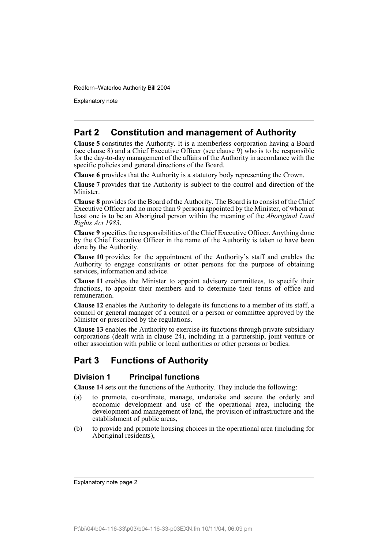Explanatory note

## **Part 2 Constitution and management of Authority**

**Clause 5** constitutes the Authority. It is a memberless corporation having a Board (see clause 8) and a Chief Executive Officer (see clause 9) who is to be responsible for the day-to-day management of the affairs of the Authority in accordance with the specific policies and general directions of the Board.

**Clause 6** provides that the Authority is a statutory body representing the Crown.

**Clause 7** provides that the Authority is subject to the control and direction of the Minister.

**Clause 8** provides for the Board of the Authority. The Board is to consist of the Chief Executive Officer and no more than 9 persons appointed by the Minister, of whom at least one is to be an Aboriginal person within the meaning of the *Aboriginal Land Rights Act 1983*.

**Clause 9** specifies the responsibilities of the Chief Executive Officer. Anything done by the Chief Executive Officer in the name of the Authority is taken to have been done by the Authority.

**Clause 10** provides for the appointment of the Authority's staff and enables the Authority to engage consultants or other persons for the purpose of obtaining services, information and advice.

**Clause 11** enables the Minister to appoint advisory committees, to specify their functions, to appoint their members and to determine their terms of office and remuneration.

**Clause 12** enables the Authority to delegate its functions to a member of its staff, a council or general manager of a council or a person or committee approved by the Minister or prescribed by the regulations.

**Clause 13** enables the Authority to exercise its functions through private subsidiary corporations (dealt with in clause 24), including in a partnership, joint venture or other association with public or local authorities or other persons or bodies.

## **Part 3 Functions of Authority**

### **Division 1 Principal functions**

**Clause 14** sets out the functions of the Authority. They include the following:

- (a) to promote, co-ordinate, manage, undertake and secure the orderly and economic development and use of the operational area, including the development and management of land, the provision of infrastructure and the establishment of public areas,
- (b) to provide and promote housing choices in the operational area (including for Aboriginal residents),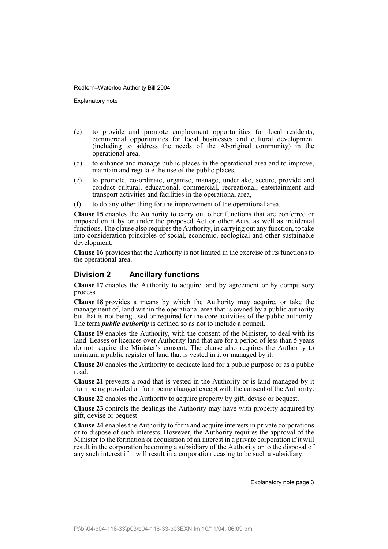Explanatory note

- (c) to provide and promote employment opportunities for local residents, commercial opportunities for local businesses and cultural development (including to address the needs of the Aboriginal community) in the operational area,
- (d) to enhance and manage public places in the operational area and to improve, maintain and regulate the use of the public places,
- (e) to promote, co-ordinate, organise, manage, undertake, secure, provide and conduct cultural, educational, commercial, recreational, entertainment and transport activities and facilities in the operational area,
- (f) to do any other thing for the improvement of the operational area.

**Clause 15** enables the Authority to carry out other functions that are conferred or imposed on it by or under the proposed Act or other Acts, as well as incidental functions. The clause also requires the Authority, in carrying out any function, to take into consideration principles of social, economic, ecological and other sustainable development.

**Clause 16** provides that the Authority is not limited in the exercise of its functions to the operational area.

#### **Division 2 Ancillary functions**

**Clause 17** enables the Authority to acquire land by agreement or by compulsory process.

**Clause 18** provides a means by which the Authority may acquire, or take the management of, land within the operational area that is owned by a public authority but that is not being used or required for the core activities of the public authority. The term *public authority* is defined so as not to include a council.

**Clause 19** enables the Authority, with the consent of the Minister, to deal with its land. Leases or licences over Authority land that are for a period of less than 5 years do not require the Minister's consent. The clause also requires the Authority to maintain a public register of land that is vested in it or managed by it.

**Clause 20** enables the Authority to dedicate land for a public purpose or as a public road.

**Clause 21** prevents a road that is vested in the Authority or is land managed by it from being provided or from being changed except with the consent of the Authority.

**Clause 22** enables the Authority to acquire property by gift, devise or bequest.

**Clause 23** controls the dealings the Authority may have with property acquired by gift, devise or bequest.

**Clause 24** enables the Authority to form and acquire interests in private corporations or to dispose of such interests. However, the Authority requires the approval of the Minister to the formation or acquisition of an interest in a private corporation if it will result in the corporation becoming a subsidiary of the Authority or to the disposal of any such interest if it will result in a corporation ceasing to be such a subsidiary.

Explanatory note page 3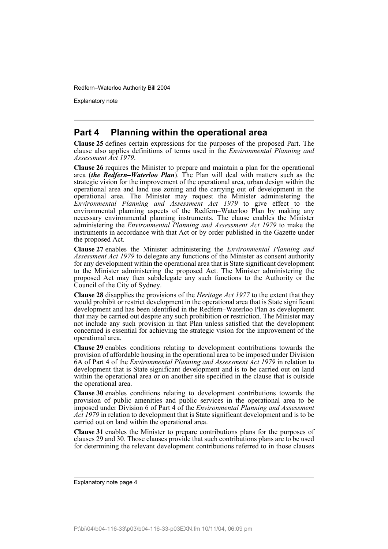Explanatory note

## **Part 4 Planning within the operational area**

**Clause 25** defines certain expressions for the purposes of the proposed Part. The clause also applies definitions of terms used in the *Environmental Planning and Assessment Act 1979*.

**Clause 26** requires the Minister to prepare and maintain a plan for the operational area (*the Redfern–Waterloo Plan*). The Plan will deal with matters such as the strategic vision for the improvement of the operational area, urban design within the operational area and land use zoning and the carrying out of development in the operational area. The Minister may request the Minister administering the *Environmental Planning and Assessment Act 1979* to give effect to the environmental planning aspects of the Redfern–Waterloo Plan by making any necessary environmental planning instruments. The clause enables the Minister administering the *Environmental Planning and Assessment Act 1979* to make the instruments in accordance with that Act or by order published in the Gazette under the proposed Act.

**Clause 27** enables the Minister administering the *Environmental Planning and Assessment Act 1979* to delegate any functions of the Minister as consent authority for any development within the operational area that is State significant development to the Minister administering the proposed Act. The Minister administering the proposed Act may then subdelegate any such functions to the Authority or the Council of the City of Sydney.

**Clause 28** disapplies the provisions of the *Heritage Act 1977* to the extent that they would prohibit or restrict development in the operational area that is State significant development and has been identified in the Redfern–Waterloo Plan as development that may be carried out despite any such prohibition or restriction. The Minister may not include any such provision in that Plan unless satisfied that the development concerned is essential for achieving the strategic vision for the improvement of the operational area.

**Clause 29** enables conditions relating to development contributions towards the provision of affordable housing in the operational area to be imposed under Division 6A of Part 4 of the *Environmental Planning and Assessment Act 1979* in relation to development that is State significant development and is to be carried out on land within the operational area or on another site specified in the clause that is outside the operational area.

**Clause 30** enables conditions relating to development contributions towards the provision of public amenities and public services in the operational area to be imposed under Division 6 of Part 4 of the *Environmental Planning and Assessment Act 1979* in relation to development that is State significant development and is to be carried out on land within the operational area.

**Clause 31** enables the Minister to prepare contributions plans for the purposes of clauses 29 and 30. Those clauses provide that such contributions plans are to be used for determining the relevant development contributions referred to in those clauses

Explanatory note page 4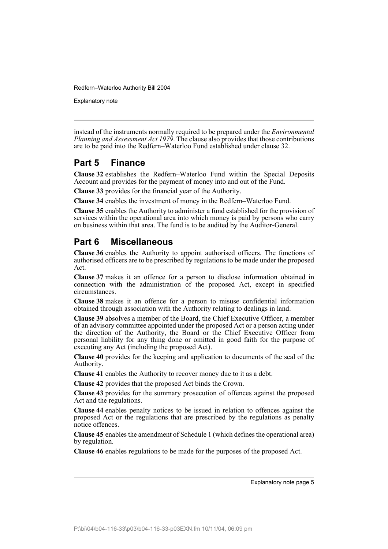Explanatory note

instead of the instruments normally required to be prepared under the *Environmental Planning and Assessment Act 1979*. The clause also provides that those contributions are to be paid into the Redfern–Waterloo Fund established under clause 32.

## **Part 5 Finance**

**Clause 32** establishes the Redfern–Waterloo Fund within the Special Deposits Account and provides for the payment of money into and out of the Fund.

**Clause 33** provides for the financial year of the Authority.

**Clause 34** enables the investment of money in the Redfern–Waterloo Fund.

**Clause 35** enables the Authority to administer a fund established for the provision of services within the operational area into which money is paid by persons who carry on business within that area. The fund is to be audited by the Auditor-General.

## **Part 6 Miscellaneous**

**Clause 36** enables the Authority to appoint authorised officers. The functions of authorised officers are to be prescribed by regulations to be made under the proposed Act.

**Clause 37** makes it an offence for a person to disclose information obtained in connection with the administration of the proposed Act, except in specified circumstances.

**Clause 38** makes it an offence for a person to misuse confidential information obtained through association with the Authority relating to dealings in land.

**Clause 39** absolves a member of the Board, the Chief Executive Officer, a member of an advisory committee appointed under the proposed Act or a person acting under the direction of the Authority, the Board or the Chief Executive Officer from personal liability for any thing done or omitted in good faith for the purpose of executing any Act (including the proposed Act).

**Clause 40** provides for the keeping and application to documents of the seal of the Authority.

**Clause 41** enables the Authority to recover money due to it as a debt.

**Clause 42** provides that the proposed Act binds the Crown.

**Clause 43** provides for the summary prosecution of offences against the proposed Act and the regulations.

**Clause 44** enables penalty notices to be issued in relation to offences against the proposed Act or the regulations that are prescribed by the regulations as penalty notice offences.

**Clause 45** enables the amendment of Schedule 1 (which defines the operational area) by regulation.

**Clause 46** enables regulations to be made for the purposes of the proposed Act.

Explanatory note page 5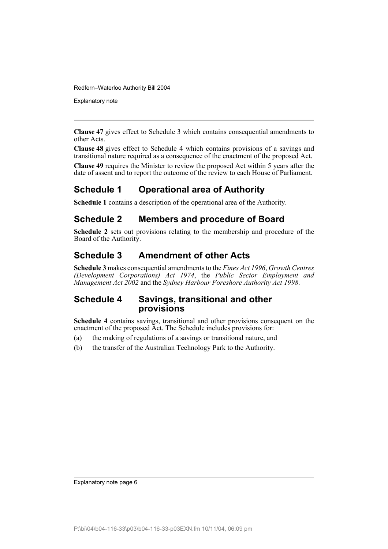Explanatory note

**Clause 47** gives effect to Schedule 3 which contains consequential amendments to other Acts.

**Clause 48** gives effect to Schedule 4 which contains provisions of a savings and transitional nature required as a consequence of the enactment of the proposed Act.

**Clause 49** requires the Minister to review the proposed Act within 5 years after the date of assent and to report the outcome of the review to each House of Parliament.

## **Schedule 1 Operational area of Authority**

**Schedule 1** contains a description of the operational area of the Authority.

## **Schedule 2 Members and procedure of Board**

**Schedule 2** sets out provisions relating to the membership and procedure of the Board of the Authority.

## **Schedule 3 Amendment of other Acts**

**Schedule 3** makes consequential amendments to the *Fines Act 1996*, *Growth Centres (Development Corporations) Act 1974*, the *Public Sector Employment and Management Act 2002* and the *Sydney Harbour Foreshore Authority Act 1998*.

## **Schedule 4 Savings, transitional and other provisions**

**Schedule 4** contains savings, transitional and other provisions consequent on the enactment of the proposed Act. The Schedule includes provisions for:

- (a) the making of regulations of a savings or transitional nature, and
- (b) the transfer of the Australian Technology Park to the Authority.

Explanatory note page 6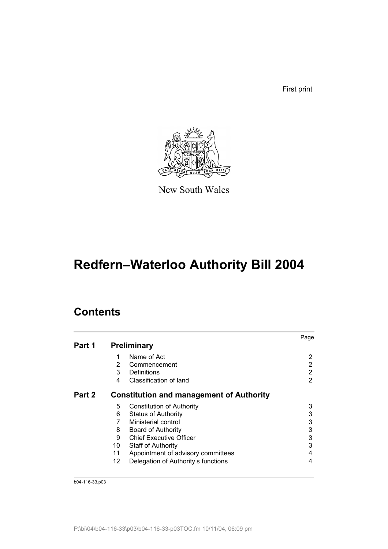First print



New South Wales

# **Redfern–Waterloo Authority Bill 2004**

## **Contents**

|        |    |                                                 | Page |
|--------|----|-------------------------------------------------|------|
| Part 1 |    | <b>Preliminary</b>                              |      |
|        | 1  | Name of Act                                     | 2    |
|        | 2  | Commencement                                    | 2    |
|        | 3  | Definitions                                     | 2    |
|        | 4  | Classification of land                          | 2    |
| Part 2 |    | <b>Constitution and management of Authority</b> |      |
|        | 5  | Constitution of Authority                       | 3    |
|        | 6  | <b>Status of Authority</b>                      | 3    |
|        |    | Ministerial control                             | 3    |
|        | 8  | Board of Authority                              | 3    |
|        | 9  | <b>Chief Executive Officer</b>                  | 3    |
|        | 10 | <b>Staff of Authority</b>                       | 3    |
|        | 11 | Appointment of advisory committees              | 4    |
|        | 12 | Delegation of Authority's functions             | 4    |
|        |    |                                                 |      |

b04-116-33.p03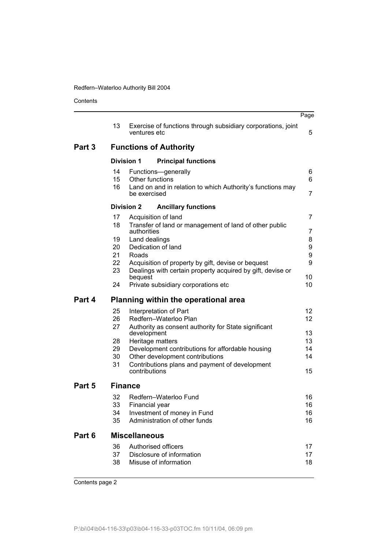**Contents** 

|        |          |                      |                                                              | Page              |
|--------|----------|----------------------|--------------------------------------------------------------|-------------------|
|        | 13       | ventures etc.        | Exercise of functions through subsidiary corporations, joint | 5                 |
| Part 3 |          |                      | <b>Functions of Authority</b>                                |                   |
|        |          | <b>Division 1</b>    | <b>Principal functions</b>                                   |                   |
|        | 14       |                      | Functions-generally                                          | 6                 |
|        | 15       |                      | Other functions                                              | 6                 |
|        | 16       | be exercised         | Land on and in relation to which Authority's functions may   | 7                 |
|        |          | <b>Division 2</b>    | <b>Ancillary functions</b>                                   |                   |
|        | 17       |                      | Acquisition of land                                          | 7                 |
|        | 18       | authorities          | Transfer of land or management of land of other public       |                   |
|        | 19       | Land dealings        |                                                              | 7<br>8            |
|        | 20       |                      | Dedication of land                                           | 9                 |
|        | 21       | Roads                |                                                              | 9                 |
|        | 22       |                      | Acquisition of property by gift, devise or bequest           | 9                 |
|        | 23       | bequest              | Dealings with certain property acquired by gift, devise or   | 10                |
|        | 24       |                      | Private subsidiary corporations etc                          | 10                |
| Part 4 |          |                      | Planning within the operational area                         |                   |
|        | 25       |                      | Interpretation of Part                                       | $12 \overline{ }$ |
|        | 26       |                      | Redfern-Waterloo Plan                                        | 12                |
|        | 27       | development          | Authority as consent authority for State significant         | 13                |
|        | 28       |                      | Heritage matters                                             | 13                |
|        | 29       |                      | Development contributions for affordable housing             | 14                |
|        | 30       |                      | Other development contributions                              | 14                |
|        | 31       | contributions        | Contributions plans and payment of development               | 15                |
| Part 5 |          | <b>Finance</b>       |                                                              |                   |
|        | 32       |                      | Redfern-Waterloo Fund                                        | 16                |
|        | 33       | Financial year       |                                                              | 16                |
|        | 34<br>35 |                      | Investment of money in Fund<br>Administration of other funds | 16<br>16          |
|        |          |                      |                                                              |                   |
| Part 6 |          | <b>Miscellaneous</b> |                                                              |                   |
|        | 36       |                      | Authorised officers                                          | 17                |
|        | 37<br>38 |                      | Disclosure of information<br>Misuse of information           | 17<br>18          |
|        |          |                      |                                                              |                   |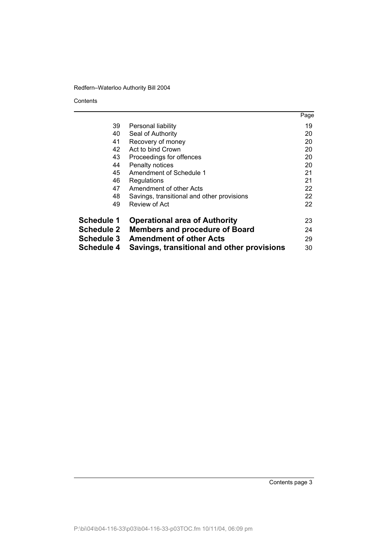#### **Contents**

|                   |                                            | Page |
|-------------------|--------------------------------------------|------|
| 39                | Personal liability                         | 19   |
| 40                | Seal of Authority                          | 20   |
| 41                | Recovery of money                          | 20   |
| 42                | Act to bind Crown                          | 20   |
| 43                | Proceedings for offences                   | 20   |
| 44                | Penalty notices                            | 20   |
| 45                | Amendment of Schedule 1                    | 21   |
| 46                | Regulations                                | 21   |
| 47                | Amendment of other Acts                    | 22   |
| 48                | Savings, transitional and other provisions | 22   |
| 49                | Review of Act                              | 22   |
| <b>Schedule 1</b> | <b>Operational area of Authority</b>       | 23   |
| <b>Schedule 2</b> | <b>Members and procedure of Board</b>      | 24   |
| <b>Schedule 3</b> | <b>Amendment of other Acts</b>             | 29   |
| Schedule 4        | Savings, transitional and other provisions | 30   |

Contents page 3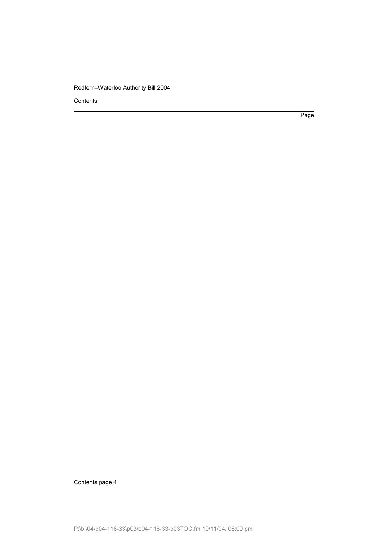**Contents** 

Page

Contents page 4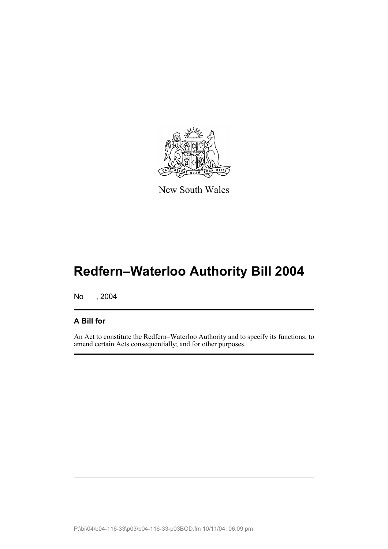

New South Wales

## **Redfern–Waterloo Authority Bill 2004**

No , 2004

## **A Bill for**

An Act to constitute the Redfern–Waterloo Authority and to specify its functions; to amend certain Acts consequentially; and for other purposes.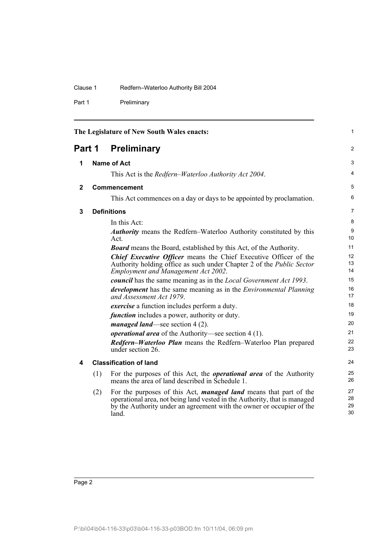### Clause 1 Redfern–Waterloo Authority Bill 2004

Part 1 Preliminary

<span id="page-11-4"></span><span id="page-11-3"></span><span id="page-11-2"></span><span id="page-11-1"></span><span id="page-11-0"></span>

| The Legislature of New South Wales enacts: |                              |                                                                                                                                                                                                                                         | $\mathbf{1}$         |
|--------------------------------------------|------------------------------|-----------------------------------------------------------------------------------------------------------------------------------------------------------------------------------------------------------------------------------------|----------------------|
|                                            | Part 1<br><b>Preliminary</b> |                                                                                                                                                                                                                                         | 2                    |
| 1                                          |                              | <b>Name of Act</b>                                                                                                                                                                                                                      | 3                    |
|                                            |                              | This Act is the Redfern–Waterloo Authority Act 2004.                                                                                                                                                                                    | $\overline{4}$       |
| $\mathbf{2}$                               |                              | Commencement                                                                                                                                                                                                                            | 5                    |
|                                            |                              | This Act commences on a day or days to be appointed by proclamation.                                                                                                                                                                    | 6                    |
| 3                                          |                              | <b>Definitions</b>                                                                                                                                                                                                                      | $\overline{7}$       |
|                                            |                              | In this Act:                                                                                                                                                                                                                            | 8                    |
|                                            |                              | <b>Authority</b> means the Redfern–Waterloo Authority constituted by this<br>Act.                                                                                                                                                       | 9<br>10              |
|                                            |                              | <b>Board</b> means the Board, established by this Act, of the Authority.                                                                                                                                                                | 11                   |
|                                            |                              | <b>Chief Executive Officer</b> means the Chief Executive Officer of the<br>Authority holding office as such under Chapter 2 of the <i>Public Sector</i><br><b>Employment and Management Act 2002.</b>                                   | 12<br>13<br>14       |
|                                            |                              | council has the same meaning as in the Local Government Act 1993.                                                                                                                                                                       | 15                   |
|                                            |                              | <i>development</i> has the same meaning as in the <i>Environmental Planning</i><br>and Assessment Act 1979.                                                                                                                             | 16<br>17             |
|                                            |                              | <i>exercise</i> a function includes perform a duty.                                                                                                                                                                                     | 18                   |
|                                            |                              | <i>function</i> includes a power, authority or duty.                                                                                                                                                                                    | 19                   |
|                                            |                              | <i>managed land—see section</i> $4(2)$ .                                                                                                                                                                                                | 20                   |
|                                            |                              | <i>operational area</i> of the Authority—see section $4(1)$ .                                                                                                                                                                           | 21                   |
|                                            |                              | <b>Redfern–Waterloo Plan</b> means the Redfern–Waterloo Plan prepared<br>under section 26.                                                                                                                                              | 22<br>23             |
| 4                                          |                              | <b>Classification of land</b>                                                                                                                                                                                                           | 24                   |
|                                            | (1)                          | For the purposes of this Act, the <i>operational area</i> of the Authority<br>means the area of land described in Schedule 1.                                                                                                           | 25<br>26             |
|                                            | (2)                          | For the purposes of this Act, <i>managed land</i> means that part of the<br>operational area, not being land vested in the Authority, that is managed<br>by the Authority under an agreement with the owner or occupier of the<br>land. | 27<br>28<br>29<br>30 |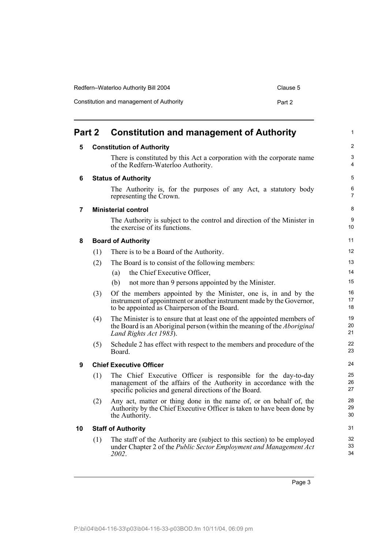| Redfern-Waterloo Authority Bill 2004     | Clause 5 |
|------------------------------------------|----------|
| Constitution and management of Authority | Part 2   |

<span id="page-12-6"></span><span id="page-12-5"></span><span id="page-12-4"></span><span id="page-12-3"></span><span id="page-12-2"></span><span id="page-12-1"></span><span id="page-12-0"></span>

| Part 2 |     | <b>Constitution and management of Authority</b>                                                                                                                                              |                     |
|--------|-----|----------------------------------------------------------------------------------------------------------------------------------------------------------------------------------------------|---------------------|
| 5      |     | <b>Constitution of Authority</b>                                                                                                                                                             | $\overline{2}$      |
|        |     | There is constituted by this Act a corporation with the corporate name<br>of the Redfern-Waterloo Authority.                                                                                 | 3<br>4              |
| 6      |     | <b>Status of Authority</b>                                                                                                                                                                   | 5                   |
|        |     | The Authority is, for the purposes of any Act, a statutory body<br>representing the Crown.                                                                                                   | 6<br>$\overline{7}$ |
| 7      |     | <b>Ministerial control</b>                                                                                                                                                                   | 8                   |
|        |     | The Authority is subject to the control and direction of the Minister in<br>the exercise of its functions.                                                                                   | 9<br>10             |
| 8      |     | <b>Board of Authority</b>                                                                                                                                                                    | 11                  |
|        | (1) | There is to be a Board of the Authority.                                                                                                                                                     | 12                  |
|        | (2) | The Board is to consist of the following members:                                                                                                                                            | 13                  |
|        |     | the Chief Executive Officer,<br>(a)                                                                                                                                                          | 14                  |
|        |     | not more than 9 persons appointed by the Minister.<br>(b)                                                                                                                                    | 15                  |
|        | (3) | Of the members appointed by the Minister, one is, in and by the<br>instrument of appointment or another instrument made by the Governor,<br>to be appointed as Chairperson of the Board.     | 16<br>17<br>18      |
|        | (4) | The Minister is to ensure that at least one of the appointed members of<br>the Board is an Aboriginal person (within the meaning of the <i>Aboriginal</i><br>Land Rights Act 1983).          | 19<br>20<br>21      |
|        | (5) | Schedule 2 has effect with respect to the members and procedure of the<br>Board.                                                                                                             | 22<br>23            |
| 9      |     | <b>Chief Executive Officer</b>                                                                                                                                                               | 24                  |
|        | (1) | The Chief Executive Officer is responsible for the day-to-day<br>management of the affairs of the Authority in accordance with the<br>specific policies and general directions of the Board. | 25<br>26<br>27      |
|        | (2) | Any act, matter or thing done in the name of, or on behalf of, the<br>Authority by the Chief Executive Officer is taken to have been done by<br>the Authority.                               | 28<br>29<br>30      |
| 10     |     | <b>Staff of Authority</b>                                                                                                                                                                    | 31                  |
|        | (1) | The staff of the Authority are (subject to this section) to be employed<br>under Chapter 2 of the Public Sector Employment and Management Act<br>2002.                                       | 32<br>33<br>34      |
|        |     |                                                                                                                                                                                              |                     |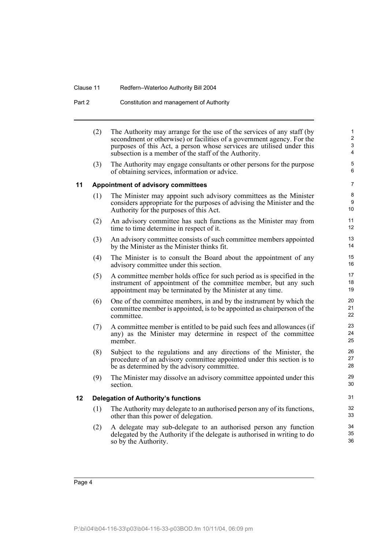### Clause 11 Redfern–Waterloo Authority Bill 2004

Part 2 **Constitution and management of Authority** 

<span id="page-13-1"></span><span id="page-13-0"></span>

|    | (2) | The Authority may arrange for the use of the services of any staff (by<br>secondment or otherwise) or facilities of a government agency. For the<br>purposes of this Act, a person whose services are utilised under this<br>subsection is a member of the staff of the Authority. | $\mathbf{1}$<br>$\overline{2}$<br>3<br>4 |
|----|-----|------------------------------------------------------------------------------------------------------------------------------------------------------------------------------------------------------------------------------------------------------------------------------------|------------------------------------------|
|    | (3) | The Authority may engage consultants or other persons for the purpose<br>of obtaining services, information or advice.                                                                                                                                                             | 5<br>6                                   |
| 11 |     | Appointment of advisory committees                                                                                                                                                                                                                                                 | $\overline{7}$                           |
|    | (1) | The Minister may appoint such advisory committees as the Minister<br>considers appropriate for the purposes of advising the Minister and the<br>Authority for the purposes of this Act.                                                                                            | 8<br>9<br>10                             |
|    | (2) | An advisory committee has such functions as the Minister may from<br>time to time determine in respect of it.                                                                                                                                                                      | 11<br>12                                 |
|    | (3) | An advisory committee consists of such committee members appointed<br>by the Minister as the Minister thinks fit.                                                                                                                                                                  | 13<br>14                                 |
|    | (4) | The Minister is to consult the Board about the appointment of any<br>advisory committee under this section.                                                                                                                                                                        | 15<br>16                                 |
|    | (5) | A committee member holds office for such period as is specified in the<br>instrument of appointment of the committee member, but any such<br>appointment may be terminated by the Minister at any time.                                                                            | 17<br>18<br>19                           |
|    | (6) | One of the committee members, in and by the instrument by which the<br>committee member is appointed, is to be appointed as chairperson of the<br>committee.                                                                                                                       | 20<br>21<br>22                           |
|    | (7) | A committee member is entitled to be paid such fees and allowances (if<br>any) as the Minister may determine in respect of the committee<br>member.                                                                                                                                | 23<br>24<br>25                           |
|    | (8) | Subject to the regulations and any directions of the Minister, the<br>procedure of an advisory committee appointed under this section is to<br>be as determined by the advisory committee.                                                                                         | 26<br>27<br>28                           |
|    | (9) | The Minister may dissolve an advisory committee appointed under this<br>section.                                                                                                                                                                                                   | 29<br>30                                 |
| 12 |     | <b>Delegation of Authority's functions</b>                                                                                                                                                                                                                                         | 31                                       |
|    | (1) | The Authority may delegate to an authorised person any of its functions,<br>other than this power of delegation.                                                                                                                                                                   | 32<br>33                                 |
|    | (2) | A delegate may sub-delegate to an authorised person any function<br>delegated by the Authority if the delegate is authorised in writing to do<br>so by the Authority.                                                                                                              | 34<br>35<br>36                           |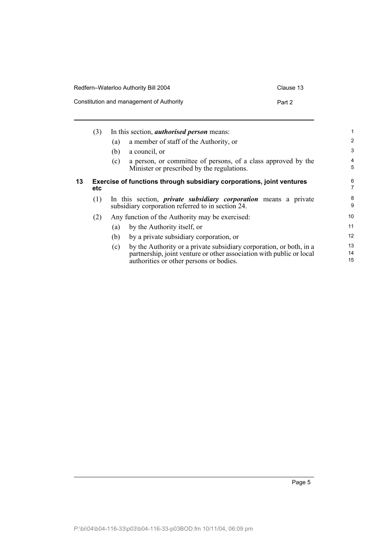| Redfern-Waterloo Authority Bill 2004     | Clause 13 |
|------------------------------------------|-----------|
| Constitution and management of Authority | Part 2    |

<span id="page-14-0"></span>

|    | (3) | In this section, <i>authorised person</i> means:                                                                            | $\mathbf{1}$        |
|----|-----|-----------------------------------------------------------------------------------------------------------------------------|---------------------|
|    |     | a member of staff of the Authority, or<br>(a)                                                                               | 2                   |
|    |     | (b)<br>a council, or                                                                                                        | 3                   |
|    |     | a person, or committee of persons, of a class approved by the<br>(c)<br>Minister or prescribed by the regulations.          | 4<br>5              |
| 13 | etc | Exercise of functions through subsidiary corporations, joint ventures                                                       | 6<br>$\overline{7}$ |
|    | (1) | In this section, <i>private subsidiary corporation</i> means a private<br>subsidiary corporation referred to in section 24. | 8<br>9              |
|    | (2) | Any function of the Authority may be exercised:                                                                             | 10                  |
|    |     | by the Authority itself, or<br>(a)                                                                                          | 11                  |
|    |     | (b)<br>by a private subsidiary corporation, or                                                                              | 12                  |
|    |     | by the Authority or a private subsidiary corporation, or both, in a<br>(c)                                                  | 13                  |
|    |     | partnership, joint venture or other association with public or local                                                        | 14                  |
|    |     | authorities or other persons or bodies.                                                                                     | 15                  |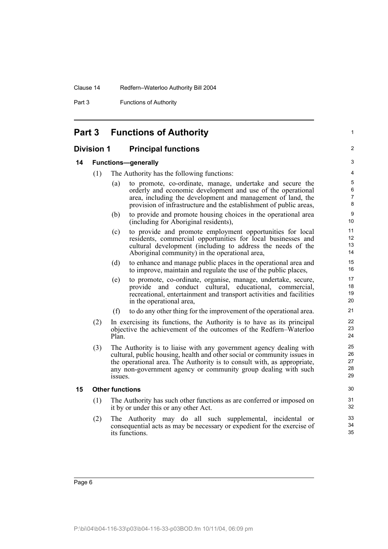#### Clause 14 Redfern–Waterloo Authority Bill 2004

Part 3 **Functions of Authority** 

## <span id="page-15-0"></span>**Part 3 Functions of Authority**

#### <span id="page-15-1"></span>**Division 1 Principal functions**

#### <span id="page-15-2"></span>**14 Functions—generally**

(1) The Authority has the following functions:

| (a) | to promote, co-ordinate, manage, undertake and secure the          |
|-----|--------------------------------------------------------------------|
|     | orderly and economic development and use of the operational        |
|     | area, including the development and management of land, the        |
|     | provision of infrastructure and the establishment of public areas, |

1

 $\overline{2}$ 

- (b) to provide and promote housing choices in the operational area (including for Aboriginal residents),
- (c) to provide and promote employment opportunities for local residents, commercial opportunities for local businesses and cultural development (including to address the needs of the Aboriginal community) in the operational area,
- (d) to enhance and manage public places in the operational area and to improve, maintain and regulate the use of the public places,
- (e) to promote, co-ordinate, organise, manage, undertake, secure, provide and conduct cultural, educational, commercial, recreational, entertainment and transport activities and facilities in the operational area,
- (f) to do any other thing for the improvement of the operational area.
- (2) In exercising its functions, the Authority is to have as its principal objective the achievement of the outcomes of the Redfern–Waterloo Plan.
- (3) The Authority is to liaise with any government agency dealing with cultural, public housing, health and other social or community issues in the operational area. The Authority is to consult with, as appropriate, any non-government agency or community group dealing with such issues.

#### <span id="page-15-3"></span>**15 Other functions**

- (1) The Authority has such other functions as are conferred or imposed on it by or under this or any other Act.
- (2) The Authority may do all such supplemental, incidental or consequential acts as may be necessary or expedient for the exercise of its functions.

P:\bi\04\b04-116-33\p03\b04-116-33-p03BOD.fm 10/11/04, 06:09 pm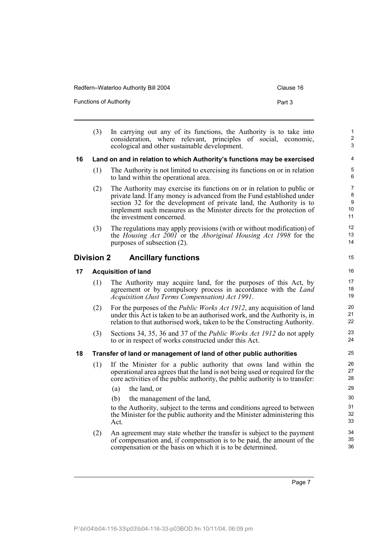Redfern–Waterloo Authority Bill 2004 Clause 16

Functions of Authority **Part 3** Part 3

1 2 3

15

- <span id="page-16-0"></span>consideration, where relevant, principles of social, economic, ecological and other sustainable development. **16 Land on and in relation to which Authority's functions may be exercised** (1) The Authority is not limited to exercising its functions on or in relation to land within the operational area. (2) The Authority may exercise its functions on or in relation to public or private land. If any money is advanced from the Fund established under
	- section 32 for the development of private land, the Authority is to implement such measures as the Minister directs for the protection of the investment concerned.

(3) In carrying out any of its functions, the Authority is to take into

(3) The regulations may apply provisions (with or without modification) of the *Housing Act 2001* or the *Aboriginal Housing Act 1998* for the purposes of subsection (2).

## <span id="page-16-1"></span>**Division 2 Ancillary functions**

### <span id="page-16-2"></span>**17 Acquisition of land**

- (1) The Authority may acquire land, for the purposes of this Act, by agreement or by compulsory process in accordance with the *Land Acquisition (Just Terms Compensation) Act 1991*.
- (2) For the purposes of the *Public Works Act 1912*, any acquisition of land under this Act is taken to be an authorised work, and the Authority is, in relation to that authorised work, taken to be the Constructing Authority.
- (3) Sections 34, 35, 36 and 37 of the *Public Works Act 1912* do not apply to or in respect of works constructed under this Act.

#### <span id="page-16-3"></span>**18 Transfer of land or management of land of other public authorities**

- (1) If the Minister for a public authority that owns land within the operational area agrees that the land is not being used or required for the core activities of the public authority, the public authority is to transfer:
	- (a) the land, or
	- (b) the management of the land,

to the Authority, subject to the terms and conditions agreed to between the Minister for the public authority and the Minister administering this Act.

(2) An agreement may state whether the transfer is subject to the payment of compensation and, if compensation is to be paid, the amount of the compensation or the basis on which it is to be determined.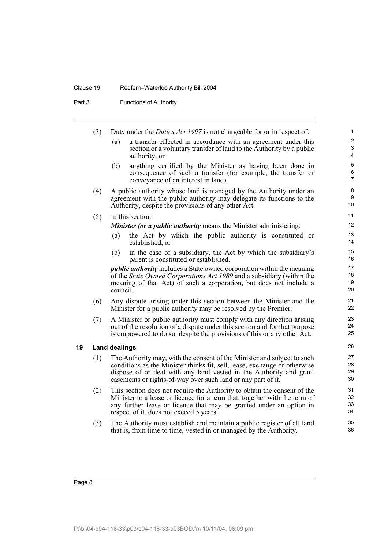#### Clause 19 Redfern–Waterloo Authority Bill 2004

Part 3 Functions of Authority

|    | (3) | Duty under the <i>Duties Act 1997</i> is not chargeable for or in respect of:                                                                                                                                                                                                              | $\mathbf{1}$                                            |
|----|-----|--------------------------------------------------------------------------------------------------------------------------------------------------------------------------------------------------------------------------------------------------------------------------------------------|---------------------------------------------------------|
|    |     | a transfer effected in accordance with an agreement under this<br>(a)<br>section or a voluntary transfer of land to the Authority by a public<br>authority, or                                                                                                                             | $\overline{\mathbf{c}}$<br>3<br>$\overline{\mathbf{4}}$ |
|    |     | anything certified by the Minister as having been done in<br>(b)<br>consequence of such a transfer (for example, the transfer or<br>conveyance of an interest in land).                                                                                                                    | 5<br>6<br>$\overline{7}$                                |
|    | (4) | A public authority whose land is managed by the Authority under an<br>agreement with the public authority may delegate its functions to the<br>Authority, despite the provisions of any other Act.                                                                                         | 8<br>9<br>10                                            |
|    | (5) | In this section:                                                                                                                                                                                                                                                                           | 11                                                      |
|    |     | <b>Minister for a public authority means the Minister administering:</b>                                                                                                                                                                                                                   | 12                                                      |
|    |     | the Act by which the public authority is constituted or<br>(a)<br>established, or                                                                                                                                                                                                          | 13<br>14                                                |
|    |     | in the case of a subsidiary, the Act by which the subsidiary's<br>(b)<br>parent is constituted or established.                                                                                                                                                                             | 15<br>16                                                |
|    |     | <i>public authority</i> includes a State owned corporation within the meaning<br>of the State Owned Corporations Act 1989 and a subsidiary (within the<br>meaning of that Act) of such a corporation, but does not include a<br>council.                                                   | 17<br>18<br>19<br>20                                    |
|    | (6) | Any dispute arising under this section between the Minister and the<br>Minister for a public authority may be resolved by the Premier.                                                                                                                                                     | 21<br>22                                                |
|    | (7) | A Minister or public authority must comply with any direction arising<br>out of the resolution of a dispute under this section and for that purpose<br>is empowered to do so, despite the provisions of this or any other Act.                                                             | 23<br>24<br>25                                          |
| 19 |     | <b>Land dealings</b>                                                                                                                                                                                                                                                                       | 26                                                      |
|    | (1) | The Authority may, with the consent of the Minister and subject to such<br>conditions as the Minister thinks fit, sell, lease, exchange or otherwise<br>dispose of or deal with any land vested in the Authority and grant<br>easements or rights-of-way over such land or any part of it. | 27<br>28<br>29<br>30                                    |
|    | (2) | This section does not require the Authority to obtain the consent of the<br>Minister to a lease or licence for a term that, together with the term of<br>any further lease or licence that may be granted under an option in<br>respect of it, does not exceed 5 years.                    | 31<br>32<br>33<br>34                                    |
|    | (3) | The Authority must establish and maintain a public register of all land                                                                                                                                                                                                                    | 35                                                      |

<span id="page-17-0"></span>(3) The Authority must establish and maintain a public register of all land that is, from time to time, vested in or managed by the Authority.

36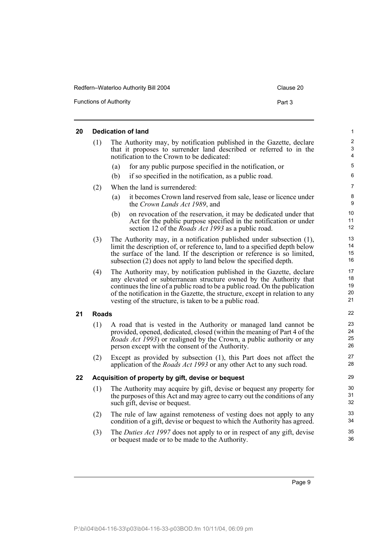<span id="page-18-0"></span>

| 20 |              | <b>Dedication of land</b>                                                                                                                                                                                                                                                                                                                                            | 1                                   |
|----|--------------|----------------------------------------------------------------------------------------------------------------------------------------------------------------------------------------------------------------------------------------------------------------------------------------------------------------------------------------------------------------------|-------------------------------------|
|    | (1)          | The Authority may, by notification published in the Gazette, declare<br>that it proposes to surrender land described or referred to in the<br>notification to the Crown to be dedicated:                                                                                                                                                                             | $\overline{c}$<br>$\mathbf{3}$<br>4 |
|    |              | for any public purpose specified in the notification, or<br>(a)                                                                                                                                                                                                                                                                                                      | 5                                   |
|    |              | if so specified in the notification, as a public road.<br>(b)                                                                                                                                                                                                                                                                                                        | 6                                   |
|    | (2)          | When the land is surrendered:                                                                                                                                                                                                                                                                                                                                        | 7                                   |
|    |              | it becomes Crown land reserved from sale, lease or licence under<br>(a)<br>the Crown Lands Act 1989, and                                                                                                                                                                                                                                                             | $\bf 8$<br>9                        |
|    |              | on revocation of the reservation, it may be dedicated under that<br>(b)<br>Act for the public purpose specified in the notification or under<br>section 12 of the <i>Roads Act 1993</i> as a public road.                                                                                                                                                            | 10<br>11<br>12                      |
|    | (3)          | The Authority may, in a notification published under subsection (1),<br>limit the description of, or reference to, land to a specified depth below<br>the surface of the land. If the description or reference is so limited,<br>subsection (2) does not apply to land below the specified depth.                                                                    | 13<br>14<br>15<br>16                |
|    | (4)          | The Authority may, by notification published in the Gazette, declare<br>any elevated or subterranean structure owned by the Authority that<br>continues the line of a public road to be a public road. On the publication<br>of the notification in the Gazette, the structure, except in relation to any<br>vesting of the structure, is taken to be a public road. | 17<br>18<br>19<br>20<br>21          |
| 21 | <b>Roads</b> |                                                                                                                                                                                                                                                                                                                                                                      | 22                                  |
|    | (1)          | A road that is vested in the Authority or managed land cannot be<br>provided, opened, dedicated, closed (within the meaning of Part 4 of the<br><i>Roads Act 1993</i> ) or realigned by the Crown, a public authority or any<br>person except with the consent of the Authority.                                                                                     | 23<br>24<br>25<br>26                |
|    | (2)          | Except as provided by subsection (1), this Part does not affect the<br>application of the <i>Roads Act 1993</i> or any other Act to any such road.                                                                                                                                                                                                                   | 27<br>28                            |
| 22 |              | Acquisition of property by gift, devise or bequest                                                                                                                                                                                                                                                                                                                   | 29                                  |
|    | (1)          | The Authority may acquire by gift, devise or bequest any property for<br>the purposes of this Act and may agree to carry out the conditions of any<br>such gift, devise or bequest.                                                                                                                                                                                  | 30<br>31<br>32                      |
|    | (2)          | The rule of law against remoteness of vesting does not apply to any                                                                                                                                                                                                                                                                                                  | 33                                  |

Redfern–Waterloo Authority Bill 2004 Clause 20

Functions of Authority **Part 3** 

- <span id="page-18-2"></span><span id="page-18-1"></span>(2) The rule of law against remoteness of vesting does not apply to any condition of a gift, devise or bequest to which the Authority has agreed.
- (3) The *Duties Act 1997* does not apply to or in respect of any gift, devise or bequest made or to be made to the Authority.

34 35 36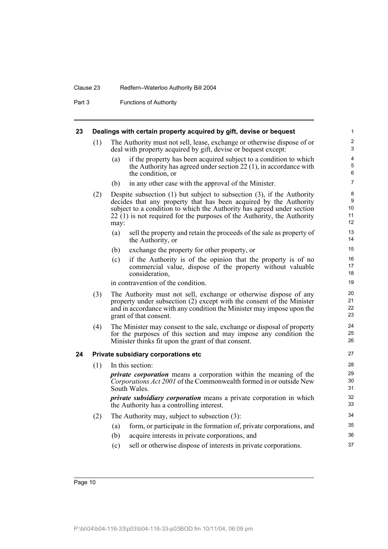#### Clause 23 Redfern–Waterloo Authority Bill 2004

Part 3 **Functions of Authority** 

#### <span id="page-19-1"></span><span id="page-19-0"></span>**23 Dealings with certain property acquired by gift, devise or bequest** (1) The Authority must not sell, lease, exchange or otherwise dispose of or deal with property acquired by gift, devise or bequest except: (a) if the property has been acquired subject to a condition to which the Authority has agreed under section 22 (1), in accordance with the condition, or (b) in any other case with the approval of the Minister. (2) Despite subsection (1) but subject to subsection (3), if the Authority decides that any property that has been acquired by the Authority subject to a condition to which the Authority has agreed under section 22 (1) is not required for the purposes of the Authority, the Authority may: (a) sell the property and retain the proceeds of the sale as property of the Authority, or (b) exchange the property for other property, or (c) if the Authority is of the opinion that the property is of no commercial value, dispose of the property without valuable consideration, in contravention of the condition. (3) The Authority must not sell, exchange or otherwise dispose of any property under subsection (2) except with the consent of the Minister and in accordance with any condition the Minister may impose upon the grant of that consent. (4) The Minister may consent to the sale, exchange or disposal of property for the purposes of this section and may impose any condition the Minister thinks fit upon the grant of that consent. **24 Private subsidiary corporations etc** (1) In this section: *private corporation* means a corporation within the meaning of the *Corporations Act 2001* of the Commonwealth formed in or outside New South Wales. *private subsidiary corporation* means a private corporation in which the Authority has a controlling interest. (2) The Authority may, subject to subsection (3): (a) form, or participate in the formation of, private corporations, and (b) acquire interests in private corporations, and (c) sell or otherwise dispose of interests in private corporations. 1  $\overline{2}$ 3 4 5 6 7 8 9 10 11 12 13 14 15 16 17 18 19 20 21 22 23 24 25 26 27 28 29 30 31 32 33 34 35 36 37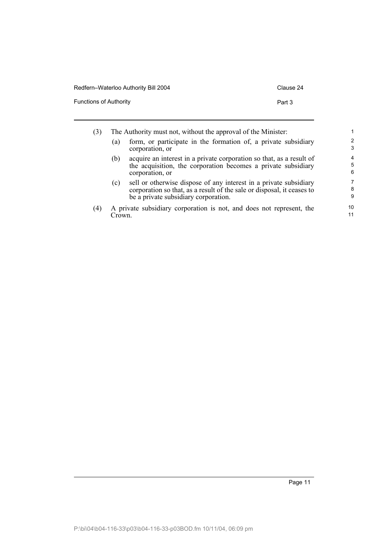| Redfern-Waterloo Authority Bill 2004 | Clause 24 |
|--------------------------------------|-----------|
| <b>Functions of Authority</b>        | Part 3    |
|                                      |           |

| (3) | The Authority must not, without the approval of the Minister: |                                                                                                                                                                                     |                          |  |  |
|-----|---------------------------------------------------------------|-------------------------------------------------------------------------------------------------------------------------------------------------------------------------------------|--------------------------|--|--|
|     | (a)                                                           | form, or participate in the formation of, a private subsidiary<br>corporation, or                                                                                                   | $\overline{2}$<br>3      |  |  |
|     | (b)                                                           | acquire an interest in a private corporation so that, as a result of<br>the acquisition, the corporation becomes a private subsidiary<br>corporation, or                            | $\overline{4}$<br>5<br>6 |  |  |
|     | (c)                                                           | sell or otherwise dispose of any interest in a private subsidiary<br>corporation so that, as a result of the sale or disposal, it ceases to<br>be a private subsidiary corporation. | 7<br>8<br>9              |  |  |
| (4) | Crown.                                                        | A private subsidiary corporation is not, and does not represent, the                                                                                                                | 10<br>11                 |  |  |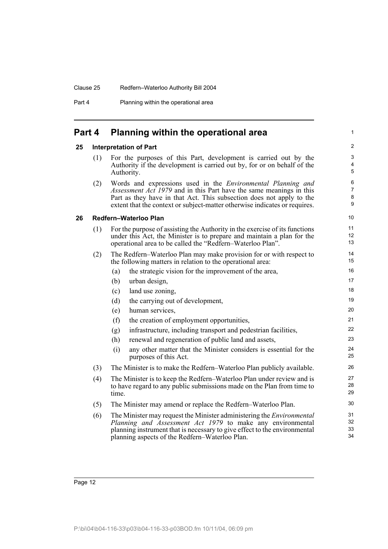#### Clause 25 Redfern–Waterloo Authority Bill 2004

Part 4 Planning within the operational area

## <span id="page-21-0"></span>**Part 4 Planning within the operational area**

#### <span id="page-21-1"></span>**25 Interpretation of Part**

(1) For the purposes of this Part, development is carried out by the Authority if the development is carried out by, for or on behalf of the Authority.

1

(2) Words and expressions used in the *Environmental Planning and Assessment Act 1979* and in this Part have the same meanings in this Part as they have in that Act. This subsection does not apply to the extent that the context or subject-matter otherwise indicates or requires.

#### <span id="page-21-2"></span>**26 Redfern–Waterloo Plan**

- (1) For the purpose of assisting the Authority in the exercise of its functions under this Act, the Minister is to prepare and maintain a plan for the operational area to be called the "Redfern–Waterloo Plan".
- (2) The Redfern–Waterloo Plan may make provision for or with respect to the following matters in relation to the operational area:
	- (a) the strategic vision for the improvement of the area,
	- (b) urban design,
	- (c) land use zoning,
	- (d) the carrying out of development,
	- (e) human services,
	- (f) the creation of employment opportunities,
	- (g) infrastructure, including transport and pedestrian facilities,
	- (h) renewal and regeneration of public land and assets,
	- (i) any other matter that the Minister considers is essential for the purposes of this Act.
- (3) The Minister is to make the Redfern–Waterloo Plan publicly available.
- (4) The Minister is to keep the Redfern–Waterloo Plan under review and is to have regard to any public submissions made on the Plan from time to time.
- (5) The Minister may amend or replace the Redfern–Waterloo Plan.
- (6) The Minister may request the Minister administering the *Environmental Planning and Assessment Act 1979* to make any environmental planning instrument that is necessary to give effect to the environmental planning aspects of the Redfern–Waterloo Plan.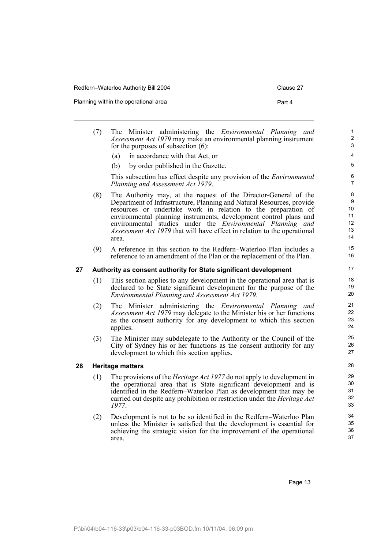i.

Planning within the operational area **Part 4** Part 4

<span id="page-22-1"></span><span id="page-22-0"></span>

|    | (7) | The Minister administering the <i>Environmental Planning and</i><br><i>Assessment Act 1979</i> may make an environmental planning instrument<br>for the purposes of subsection $(6)$ :                                                                                                                                                                                                                                                    | $\mathbf{1}$<br>$\overline{2}$<br>3  |
|----|-----|-------------------------------------------------------------------------------------------------------------------------------------------------------------------------------------------------------------------------------------------------------------------------------------------------------------------------------------------------------------------------------------------------------------------------------------------|--------------------------------------|
|    |     | in accordance with that Act, or<br>(a)                                                                                                                                                                                                                                                                                                                                                                                                    | $\overline{4}$                       |
|    |     | by order published in the Gazette.<br>(b)                                                                                                                                                                                                                                                                                                                                                                                                 | 5                                    |
|    |     | This subsection has effect despite any provision of the <i>Environmental</i><br>Planning and Assessment Act 1979.                                                                                                                                                                                                                                                                                                                         | 6<br>$\overline{7}$                  |
|    | (8) | The Authority may, at the request of the Director-General of the<br>Department of Infrastructure, Planning and Natural Resources, provide<br>resources or undertake work in relation to the preparation of<br>environmental planning instruments, development control plans and<br>environmental studies under the <i>Environmental Planning and</i><br>Assessment Act 1979 that will have effect in relation to the operational<br>area. | 8<br>9<br>10<br>11<br>12<br>13<br>14 |
|    | (9) | A reference in this section to the Redfern–Waterloo Plan includes a<br>reference to an amendment of the Plan or the replacement of the Plan.                                                                                                                                                                                                                                                                                              | 15<br>16                             |
| 27 |     | Authority as consent authority for State significant development                                                                                                                                                                                                                                                                                                                                                                          | 17                                   |
|    | (1) | This section applies to any development in the operational area that is<br>declared to be State significant development for the purpose of the<br>Environmental Planning and Assessment Act 1979.                                                                                                                                                                                                                                         | 18<br>19<br>20                       |
|    | (2) | The Minister administering the <i>Environmental Planning and</i><br><i>Assessment Act 1979</i> may delegate to the Minister his or her functions<br>as the consent authority for any development to which this section<br>applies.                                                                                                                                                                                                        | 21<br>22<br>23<br>24                 |
|    | (3) | The Minister may subdelegate to the Authority or the Council of the<br>City of Sydney his or her functions as the consent authority for any<br>development to which this section applies.                                                                                                                                                                                                                                                 | 25<br>26<br>27                       |
| 28 |     | <b>Heritage matters</b>                                                                                                                                                                                                                                                                                                                                                                                                                   | 28                                   |
|    | (1) | The provisions of the <i>Heritage Act 1977</i> do not apply to development in<br>the operational area that is State significant development and is<br>identified in the Redfern-Waterloo Plan as development that may be<br>carried out despite any prohibition or restriction under the <i>Heritage Act</i><br>1977.                                                                                                                     | 29<br>30<br>31<br>32<br>33           |
|    | (2) | Development is not to be so identified in the Redfern–Waterloo Plan<br>unless the Minister is satisfied that the development is essential for<br>achieving the strategic vision for the improvement of the operational<br>area.                                                                                                                                                                                                           | 34<br>35<br>36<br>37                 |
|    |     |                                                                                                                                                                                                                                                                                                                                                                                                                                           |                                      |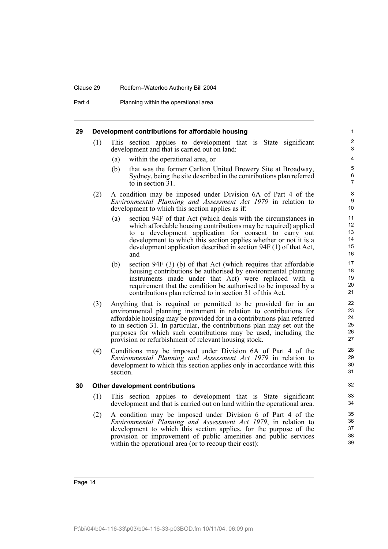#### Clause 29 Redfern–Waterloo Authority Bill 2004

Part 4 Planning within the operational area

#### <span id="page-23-0"></span>**29 Development contributions for affordable housing**

- (1) This section applies to development that is State significant development and that is carried out on land:
	- (a) within the operational area, or
	- (b) that was the former Carlton United Brewery Site at Broadway, Sydney, being the site described in the contributions plan referred to in section 31.

- (2) A condition may be imposed under Division 6A of Part 4 of the *Environmental Planning and Assessment Act 1979* in relation to development to which this section applies as if:
	- (a) section 94F of that Act (which deals with the circumstances in which affordable housing contributions may be required) applied to a development application for consent to carry out development to which this section applies whether or not it is a development application described in section 94F (1) of that Act, and
	- (b) section 94F (3) (b) of that Act (which requires that affordable housing contributions be authorised by environmental planning instruments made under that Act) were replaced with a requirement that the condition be authorised to be imposed by a contributions plan referred to in section 31 of this Act.
- (3) Anything that is required or permitted to be provided for in an environmental planning instrument in relation to contributions for affordable housing may be provided for in a contributions plan referred to in section 31. In particular, the contributions plan may set out the purposes for which such contributions may be used, including the provision or refurbishment of relevant housing stock.
- (4) Conditions may be imposed under Division 6A of Part 4 of the *Environmental Planning and Assessment Act 1979* in relation to development to which this section applies only in accordance with this section.

#### <span id="page-23-1"></span>**30 Other development contributions**

- (1) This section applies to development that is State significant development and that is carried out on land within the operational area.
- (2) A condition may be imposed under Division 6 of Part 4 of the *Environmental Planning and Assessment Act 1979*, in relation to development to which this section applies, for the purpose of the provision or improvement of public amenities and public services within the operational area (or to recoup their cost):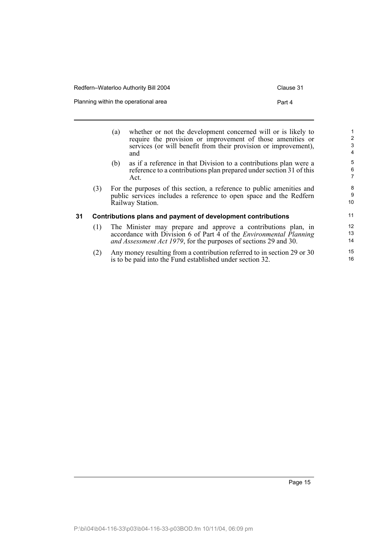15 16

Planning within the operational area **Part 4** Part 4

|    |     | (a) | whether or not the development concerned will or is likely to<br>require the provision or improvement of those amenities or<br>services (or will benefit from their provision or improvement),<br>and          | 2<br>3<br>4    |
|----|-----|-----|----------------------------------------------------------------------------------------------------------------------------------------------------------------------------------------------------------------|----------------|
|    |     | (b) | as if a reference in that Division to a contributions plan were a<br>reference to a contributions plan prepared under section 31 of this<br>Act.                                                               | 5<br>6<br>7    |
|    | (3) |     | For the purposes of this section, a reference to public amenities and<br>public services includes a reference to open space and the Redfern<br>Railway Station.                                                | 8<br>9<br>10   |
| 31 |     |     | Contributions plans and payment of development contributions                                                                                                                                                   | 11             |
|    | (1) |     | The Minister may prepare and approve a contributions plan, in<br>accordance with Division 6 of Part 4 of the <i>Environmental Planning</i><br>and Assessment Act 1979, for the purposes of sections 29 and 30. | 12<br>13<br>14 |

<span id="page-24-0"></span>(2) Any money resulting from a contribution referred to in section 29 or 30 is to be paid into the Fund established under section 32.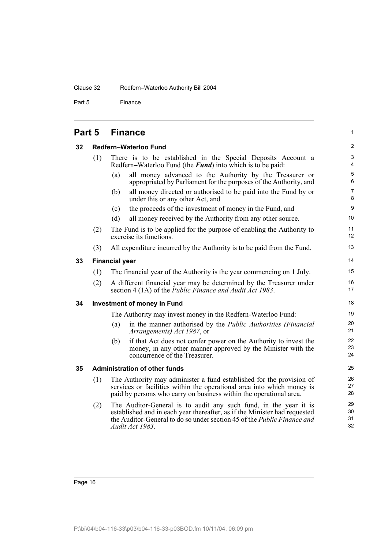#### Clause 32 Redfern–Waterloo Authority Bill 2004

Part 5 Finance

## <span id="page-25-2"></span><span id="page-25-1"></span><span id="page-25-0"></span>**Part 5 Finance 32 Redfern–Waterloo Fund** (1) There is to be established in the Special Deposits Account a Redfern**–**Waterloo Fund (the *Fund*) into which is to be paid: (a) all money advanced to the Authority by the Treasurer or appropriated by Parliament for the purposes of the Authority, and (b) all money directed or authorised to be paid into the Fund by or under this or any other Act, and (c) the proceeds of the investment of money in the Fund, and (d) all money received by the Authority from any other source. (2) The Fund is to be applied for the purpose of enabling the Authority to exercise its functions. (3) All expenditure incurred by the Authority is to be paid from the Fund. **33 Financial year** (1) The financial year of the Authority is the year commencing on 1 July. (2) A different financial year may be determined by the Treasurer under section 4 (1A) of the *Public Finance and Audit Act 1983*. **34 Investment of money in Fund** The Authority may invest money in the Redfern-Waterloo Fund: (a) in the manner authorised by the *Public Authorities (Financial Arrangements) Act 1987*, or (b) if that Act does not confer power on the Authority to invest the money, in any other manner approved by the Minister with the concurrence of the Treasurer. **35 Administration of other funds** (1) The Authority may administer a fund established for the provision of services or facilities within the operational area into which money is paid by persons who carry on business within the operational area. (2) The Auditor-General is to audit any such fund, in the year it is established and in each year thereafter, as if the Minister had requested the Auditor-General to do so under section 45 of the *Public Finance and*

1

<span id="page-25-4"></span><span id="page-25-3"></span>*Audit Act 1983*.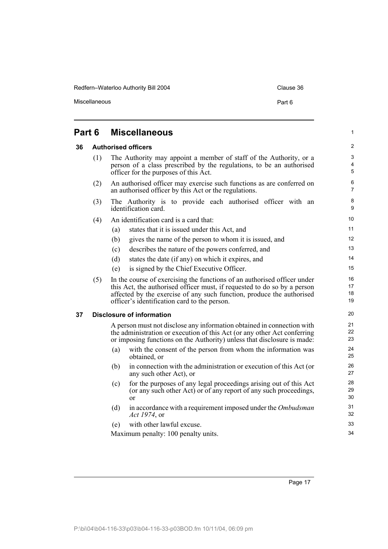Redfern–Waterloo Authority Bill 2004 Clause 36

Miscellaneous **Part 6** 

#### <span id="page-26-2"></span><span id="page-26-1"></span><span id="page-26-0"></span>**Part 6 Miscellaneous 36 Authorised officers** (1) The Authority may appoint a member of staff of the Authority, or a person of a class prescribed by the regulations, to be an authorised officer for the purposes of this Act. (2) An authorised officer may exercise such functions as are conferred on an authorised officer by this Act or the regulations. (3) The Authority is to provide each authorised officer with an identification card. (4) An identification card is a card that: (a) states that it is issued under this Act, and (b) gives the name of the person to whom it is issued, and (c) describes the nature of the powers conferred, and (d) states the date (if any) on which it expires, and (e) is signed by the Chief Executive Officer. (5) In the course of exercising the functions of an authorised officer under this Act, the authorised officer must, if requested to do so by a person affected by the exercise of any such function, produce the authorised officer's identification card to the person. **37 Disclosure of information** A person must not disclose any information obtained in connection with the administration or execution of this Act (or any other Act conferring or imposing functions on the Authority) unless that disclosure is made: (a) with the consent of the person from whom the information was obtained, or (b) in connection with the administration or execution of this Act (or any such other Act), or (c) for the purposes of any legal proceedings arising out of this Act (or any such other Act) or of any report of any such proceedings, or (d) in accordance with a requirement imposed under the *Ombudsman Act 1974*, or (e) with other lawful excuse. Maximum penalty: 100 penalty units. 1 2 3 4 5 6 7 8 9 10 11 12 13 14 15 16 17 18 19 20 21 22 23  $24$ 25 26 27 28 29 30 31 32 33 34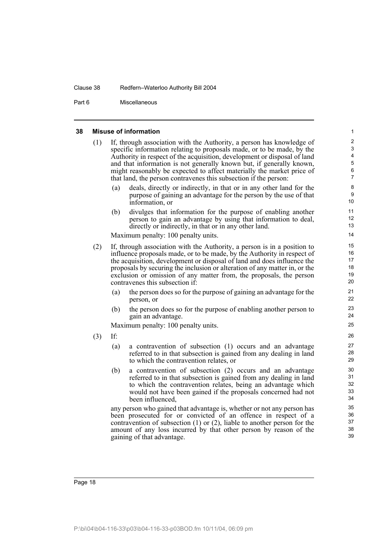#### Clause 38 Redfern–Waterloo Authority Bill 2004

Part 6 Miscellaneous

#### <span id="page-27-0"></span>**38 Misuse of information**

- (1) If, through association with the Authority, a person has knowledge of specific information relating to proposals made, or to be made, by the Authority in respect of the acquisition, development or disposal of land and that information is not generally known but, if generally known, might reasonably be expected to affect materially the market price of that land, the person contravenes this subsection if the person:
	- (a) deals, directly or indirectly, in that or in any other land for the purpose of gaining an advantage for the person by the use of that information, or

(b) divulges that information for the purpose of enabling another person to gain an advantage by using that information to deal, directly or indirectly, in that or in any other land.

Maximum penalty: 100 penalty units.

- (2) If, through association with the Authority, a person is in a position to influence proposals made, or to be made, by the Authority in respect of the acquisition, development or disposal of land and does influence the proposals by securing the inclusion or alteration of any matter in, or the exclusion or omission of any matter from, the proposals, the person contravenes this subsection if:
	- (a) the person does so for the purpose of gaining an advantage for the person, or
	- (b) the person does so for the purpose of enabling another person to gain an advantage.

Maximum penalty: 100 penalty units.

- (3) If:
	- (a) a contravention of subsection (1) occurs and an advantage referred to in that subsection is gained from any dealing in land to which the contravention relates, or
	- (b) a contravention of subsection (2) occurs and an advantage referred to in that subsection is gained from any dealing in land to which the contravention relates, being an advantage which would not have been gained if the proposals concerned had not been influenced,

any person who gained that advantage is, whether or not any person has been prosecuted for or convicted of an offence in respect of a contravention of subsection (1) or (2), liable to another person for the amount of any loss incurred by that other person by reason of the gaining of that advantage.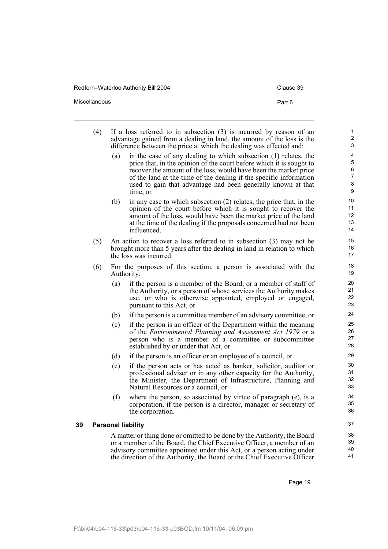Miscellaneous **Part 6** 

<span id="page-28-0"></span>

|    | (4) |     | If a loss referred to in subsection $(3)$ is incurred by reason of an<br>advantage gained from a dealing in land, the amount of the loss is the<br>difference between the price at which the dealing was effected and:                                                                                                                                        | $\mathbf{1}$<br>$\overline{c}$<br>$\ensuremath{\mathsf{3}}$ |
|----|-----|-----|---------------------------------------------------------------------------------------------------------------------------------------------------------------------------------------------------------------------------------------------------------------------------------------------------------------------------------------------------------------|-------------------------------------------------------------|
|    |     | (a) | in the case of any dealing to which subsection (1) relates, the<br>price that, in the opinion of the court before which it is sought to<br>recover the amount of the loss, would have been the market price<br>of the land at the time of the dealing if the specific information<br>used to gain that advantage had been generally known at that<br>time, or | 4<br>$\,$ 5 $\,$<br>$\,6\,$<br>$\overline{7}$<br>8<br>9     |
|    |     | (b) | in any case to which subsection (2) relates, the price that, in the<br>opinion of the court before which it is sought to recover the<br>amount of the loss, would have been the market price of the land<br>at the time of the dealing if the proposals concerned had not been<br>influenced.                                                                 | 10<br>11<br>12<br>13<br>14                                  |
|    | (5) |     | An action to recover a loss referred to in subsection (3) may not be<br>brought more than 5 years after the dealing in land in relation to which<br>the loss was incurred.                                                                                                                                                                                    | 15<br>16<br>17                                              |
|    | (6) |     | For the purposes of this section, a person is associated with the<br>Authority:                                                                                                                                                                                                                                                                               | 18<br>19                                                    |
|    |     | (a) | if the person is a member of the Board, or a member of staff of<br>the Authority, or a person of whose services the Authority makes<br>use, or who is otherwise appointed, employed or engaged,<br>pursuant to this Act, or                                                                                                                                   | 20<br>21<br>22<br>23                                        |
|    |     | (b) | if the person is a committee member of an advisory committee, or                                                                                                                                                                                                                                                                                              | 24                                                          |
|    |     | (c) | if the person is an officer of the Department within the meaning<br>of the Environmental Planning and Assessment Act 1979 or a<br>person who is a member of a committee or subcommittee<br>established by or under that Act, or                                                                                                                               | 25<br>26<br>27<br>28                                        |
|    |     | (d) | if the person is an officer or an employee of a council, or                                                                                                                                                                                                                                                                                                   | 29                                                          |
|    |     | (e) | if the person acts or has acted as banker, solicitor, auditor or<br>professional adviser or in any other capacity for the Authority,<br>the Minister, the Department of Infrastructure, Planning and<br>Natural Resources or a council, or                                                                                                                    | $30\,$<br>31<br>32<br>33                                    |
|    |     | (f) | where the person, so associated by virtue of paragraph (e), is a<br>corporation, if the person is a director, manager or secretary of<br>the corporation.                                                                                                                                                                                                     | 34<br>35<br>36                                              |
| 39 |     |     | <b>Personal liability</b>                                                                                                                                                                                                                                                                                                                                     | 37                                                          |
|    |     |     | A matter or thing done or omitted to be done by the Authority, the Board<br>or a member of the Board, the Chief Executive Officer, a member of an<br>advisory committee appointed under this Act, or a person acting under<br>the direction of the Authority, the Board or the Chief Executive Officer                                                        | 38<br>39<br>40<br>41                                        |
|    |     |     |                                                                                                                                                                                                                                                                                                                                                               |                                                             |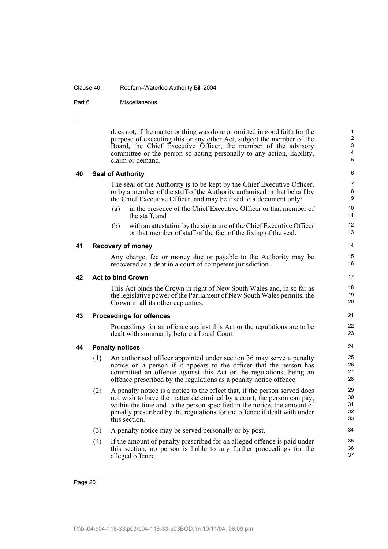#### Clause 40 Redfern–Waterloo Authority Bill 2004

Part 6 Miscellaneous

does not, if the matter or thing was done or omitted in good faith for the purpose of executing this or any other Act, subject the member of the Board, the Chief Executive Officer, the member of the advisory committee or the person so acting personally to any action, liability, claim or demand.

21 22 23

#### <span id="page-29-0"></span>**40 Seal of Authority**

The seal of the Authority is to be kept by the Chief Executive Officer, or by a member of the staff of the Authority authorised in that behalf by the Chief Executive Officer, and may be fixed to a document only:

- (a) in the presence of the Chief Executive Officer or that member of the staff, and
- (b) with an attestation by the signature of the Chief Executive Officer or that member of staff of the fact of the fixing of the seal.

#### <span id="page-29-1"></span>**41 Recovery of money**

Any charge, fee or money due or payable to the Authority may be recovered as a debt in a court of competent jurisdiction.

#### <span id="page-29-2"></span>**42 Act to bind Crown**

This Act binds the Crown in right of New South Wales and, in so far as the legislative power of the Parliament of New South Wales permits, the Crown in all its other capacities.

#### <span id="page-29-3"></span>**43 Proceedings for offences**

Proceedings for an offence against this Act or the regulations are to be dealt with summarily before a Local Court.

#### <span id="page-29-4"></span>**44 Penalty notices**

- (1) An authorised officer appointed under section 36 may serve a penalty notice on a person if it appears to the officer that the person has committed an offence against this Act or the regulations, being an offence prescribed by the regulations as a penalty notice offence.
- (2) A penalty notice is a notice to the effect that, if the person served does not wish to have the matter determined by a court, the person can pay, within the time and to the person specified in the notice, the amount of penalty prescribed by the regulations for the offence if dealt with under this section.
- (3) A penalty notice may be served personally or by post.
- (4) If the amount of penalty prescribed for an alleged offence is paid under this section, no person is liable to any further proceedings for the alleged offence.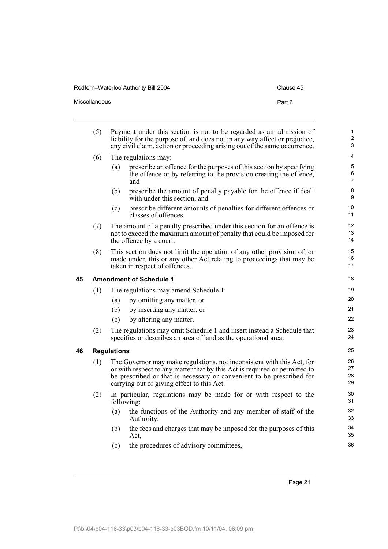### Redfern–Waterloo Authority Bill 2004 Clause 45

| Miscellaneous | Part 6 |  |
|---------------|--------|--|
|               |        |  |

<span id="page-30-1"></span><span id="page-30-0"></span>

|    | (5)                            |     | Payment under this section is not to be regarded as an admission of<br>liability for the purpose of, and does not in any way affect or prejudice,<br>any civil claim, action or proceeding arising out of the same occurrence.                                              | $\mathbf{1}$<br>$\overline{c}$<br>3 |  |
|----|--------------------------------|-----|-----------------------------------------------------------------------------------------------------------------------------------------------------------------------------------------------------------------------------------------------------------------------------|-------------------------------------|--|
|    | (6)                            |     | The regulations may:                                                                                                                                                                                                                                                        | $\overline{4}$                      |  |
|    |                                | (a) | prescribe an offence for the purposes of this section by specifying<br>the offence or by referring to the provision creating the offence,<br>and                                                                                                                            | 5<br>6<br>$\overline{7}$            |  |
|    |                                | (b) | prescribe the amount of penalty payable for the offence if dealt<br>with under this section, and                                                                                                                                                                            | 8<br>9                              |  |
|    |                                | (c) | prescribe different amounts of penalties for different offences or<br>classes of offences.                                                                                                                                                                                  | 10<br>11                            |  |
|    | (7)                            |     | The amount of a penalty prescribed under this section for an offence is<br>not to exceed the maximum amount of penalty that could be imposed for<br>the offence by a court.                                                                                                 | 12<br>13<br>14                      |  |
|    | (8)                            |     | This section does not limit the operation of any other provision of, or<br>made under, this or any other Act relating to proceedings that may be<br>taken in respect of offences.                                                                                           | 15<br>16<br>17                      |  |
| 45 | <b>Amendment of Schedule 1</b> |     |                                                                                                                                                                                                                                                                             |                                     |  |
|    | (1)                            |     | The regulations may amend Schedule 1:                                                                                                                                                                                                                                       | 19                                  |  |
|    |                                | (a) | by omitting any matter, or                                                                                                                                                                                                                                                  | 20                                  |  |
|    |                                | (b) | by inserting any matter, or                                                                                                                                                                                                                                                 | 21                                  |  |
|    |                                | (c) | by altering any matter.                                                                                                                                                                                                                                                     | 22                                  |  |
|    | (2)                            |     | The regulations may omit Schedule 1 and insert instead a Schedule that<br>specifies or describes an area of land as the operational area.                                                                                                                                   | 23<br>24                            |  |
| 46 | <b>Regulations</b>             |     |                                                                                                                                                                                                                                                                             |                                     |  |
|    | (1)                            |     | The Governor may make regulations, not inconsistent with this Act, for<br>or with respect to any matter that by this Act is required or permitted to<br>be prescribed or that is necessary or convenient to be prescribed for<br>carrying out or giving effect to this Act. | 26<br>27<br>28<br>29                |  |
|    | (2)                            |     | In particular, regulations may be made for or with respect to the<br>following:                                                                                                                                                                                             | 30<br>31                            |  |
|    |                                | (a) | the functions of the Authority and any member of staff of the<br>Authority,                                                                                                                                                                                                 | 32<br>33                            |  |
|    |                                | (b) | the fees and charges that may be imposed for the purposes of this<br>Act,                                                                                                                                                                                                   | 34<br>35                            |  |
|    |                                | (c) | the procedures of advisory committees,                                                                                                                                                                                                                                      | 36                                  |  |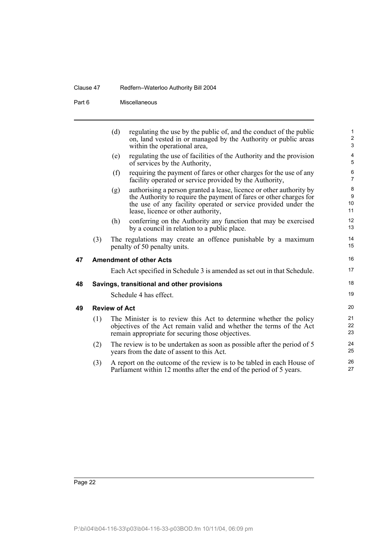### Clause 47 Redfern–Waterloo Authority Bill 2004

Part 6 Miscellaneous

<span id="page-31-2"></span><span id="page-31-1"></span><span id="page-31-0"></span>

|    |     | (d)                  | regulating the use by the public of, and the conduct of the public<br>on, land vested in or managed by the Authority or public areas<br>within the operational area,                                                                              | $\mathbf{1}$<br>$\overline{2}$<br>$\mathbf{3}$ |
|----|-----|----------------------|---------------------------------------------------------------------------------------------------------------------------------------------------------------------------------------------------------------------------------------------------|------------------------------------------------|
|    |     | (e)                  | regulating the use of facilities of the Authority and the provision<br>of services by the Authority,                                                                                                                                              | $\overline{4}$<br>5                            |
|    |     | (f)                  | requiring the payment of fares or other charges for the use of any<br>facility operated or service provided by the Authority,                                                                                                                     | 6<br>$\overline{7}$                            |
|    |     | (g)                  | authorising a person granted a lease, licence or other authority by<br>the Authority to require the payment of fares or other charges for<br>the use of any facility operated or service provided under the<br>lease, licence or other authority, | 8<br>9<br>10<br>11                             |
|    |     | (h)                  | conferring on the Authority any function that may be exercised<br>by a council in relation to a public place.                                                                                                                                     | 12<br>13                                       |
|    | (3) |                      | The regulations may create an offence punishable by a maximum<br>penalty of 50 penalty units.                                                                                                                                                     | 14<br>15                                       |
| 47 |     |                      | <b>Amendment of other Acts</b>                                                                                                                                                                                                                    | 16                                             |
|    |     |                      | Each Act specified in Schedule 3 is amended as set out in that Schedule.                                                                                                                                                                          | 17                                             |
| 48 |     |                      | Savings, transitional and other provisions                                                                                                                                                                                                        | 18                                             |
|    |     |                      | Schedule 4 has effect.                                                                                                                                                                                                                            | 19                                             |
| 49 |     | <b>Review of Act</b> |                                                                                                                                                                                                                                                   | 20                                             |
|    | (1) |                      | The Minister is to review this Act to determine whether the policy<br>objectives of the Act remain valid and whether the terms of the Act<br>remain appropriate for securing those objectives.                                                    | 21<br>22<br>23                                 |
|    | (2) |                      | The review is to be undertaken as soon as possible after the period of 5<br>years from the date of assent to this Act.                                                                                                                            | 24<br>25                                       |
|    | (3) |                      | A report on the outcome of the review is to be tabled in each House of<br>Parliament within 12 months after the end of the period of 5 years.                                                                                                     | 26<br>27                                       |
|    |     |                      |                                                                                                                                                                                                                                                   |                                                |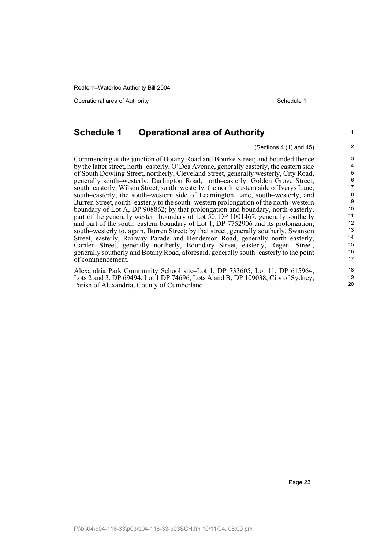Operational area of Authority Schedule 1 and 2008 and 2009 and 2008 and 2009 and 2009 and 2009 and 2009 and 20

1

## <span id="page-32-0"></span>**Schedule 1 Operational area of Authority**

(Sections 4 (1) and 45)

Commencing at the junction of Botany Road and Bourke Street; and bounded thence by the latter street, north–easterly, O'Dea Avenue, generally easterly, the eastern side of South Dowling Street, northerly, Cleveland Street, generally westerly, City Road, generally south–westerly, Darlington Road, north–easterly, Golden Grove Street, south–easterly, Wilson Street, south–westerly, the north–eastern side of Iverys Lane, south–easterly, the south–western side of Leamington Lane, south–westerly, and Burren Street, south–easterly to the south–western prolongation of the north–western boundary of Lot A, DP 908862; by that prolongation and boundary, north-easterly, part of the generally western boundary of Lot 50, DP 1001467, generally southerly and part of the south–eastern boundary of Lot 1, DP 7752906 and its prolongation, south–westerly to, again, Burren Street; by that street, generally southerly, Swanson Street, easterly, Railway Parade and Henderson Road, generally north–easterly, Garden Street, generally northerly, Boundary Street, easterly, Regent Street, generally southerly and Botany Road, aforesaid, generally south–easterly to the point of commencement.

Alexandria Park Community School site–Lot 1, DP 733605, Lot 11, DP 615964, Lots 2 and 3, DP 69494, Lot 1 DP 74696, Lots A and B, DP 109038, City of Sydney, Parish of Alexandria, County of Cumberland.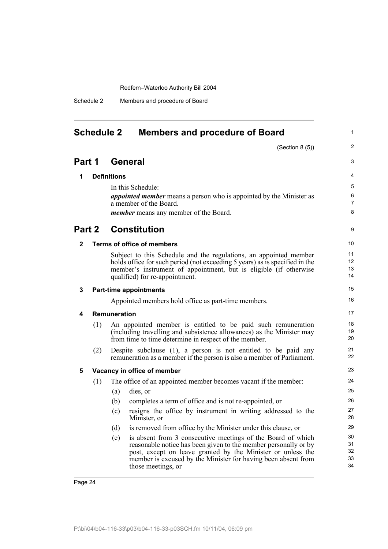Schedule 2 Members and procedure of Board

## <span id="page-33-0"></span>**Schedule 2 Members and procedure of Board**

(Section 8 (5))

1

2

|              | Part 1 |                     | <b>General</b>                                                                                                                                                                                                                                                                       | 3                                 |
|--------------|--------|---------------------|--------------------------------------------------------------------------------------------------------------------------------------------------------------------------------------------------------------------------------------------------------------------------------------|-----------------------------------|
| 1            |        | <b>Definitions</b>  |                                                                                                                                                                                                                                                                                      | 4                                 |
|              |        |                     | In this Schedule:                                                                                                                                                                                                                                                                    | 5                                 |
|              |        |                     | <i>appointed member</i> means a person who is appointed by the Minister as<br>a member of the Board.                                                                                                                                                                                 | 6<br>$\overline{7}$               |
|              |        |                     | <i>member</i> means any member of the Board.                                                                                                                                                                                                                                         | 8                                 |
| Part 2       |        |                     | <b>Constitution</b>                                                                                                                                                                                                                                                                  | 9                                 |
| $\mathbf{2}$ |        |                     | <b>Terms of office of members</b>                                                                                                                                                                                                                                                    | 10                                |
|              |        |                     | Subject to this Schedule and the regulations, an appointed member<br>holds office for such period (not exceeding 5 years) as is specified in the<br>member's instrument of appointment, but is eligible (if otherwise<br>qualified) for re-appointment.                              | 11<br>12 <sup>2</sup><br>13<br>14 |
| 3            |        |                     | <b>Part-time appointments</b>                                                                                                                                                                                                                                                        | 15                                |
|              |        |                     | Appointed members hold office as part-time members.                                                                                                                                                                                                                                  | 16                                |
| 4            |        | <b>Remuneration</b> |                                                                                                                                                                                                                                                                                      | 17                                |
|              | (1)    |                     | An appointed member is entitled to be paid such remuneration<br>(including travelling and subsistence allowances) as the Minister may<br>from time to time determine in respect of the member.                                                                                       | 18<br>19<br>20                    |
|              | (2)    |                     | Despite subclause $(1)$ , a person is not entitled to be paid any<br>remuneration as a member if the person is also a member of Parliament.                                                                                                                                          | 21<br>22                          |
| 5            |        |                     | Vacancy in office of member                                                                                                                                                                                                                                                          | 23                                |
|              | (1)    |                     | The office of an appointed member becomes vacant if the member:                                                                                                                                                                                                                      | 24                                |
|              |        | (a)                 | dies, or                                                                                                                                                                                                                                                                             | 25                                |
|              |        | (b)                 | completes a term of office and is not re-appointed, or                                                                                                                                                                                                                               | 26                                |
|              |        | (c)                 | resigns the office by instrument in writing addressed to the<br>Minister, or                                                                                                                                                                                                         | 27<br>28                          |
|              |        | (d)                 | is removed from office by the Minister under this clause, or                                                                                                                                                                                                                         | 29                                |
|              |        | (e)                 | is absent from 3 consecutive meetings of the Board of which<br>reasonable notice has been given to the member personally or by<br>post, except on leave granted by the Minister or unless the<br>member is excused by the Minister for having been absent from<br>those meetings, or | 30<br>31<br>32<br>33<br>34        |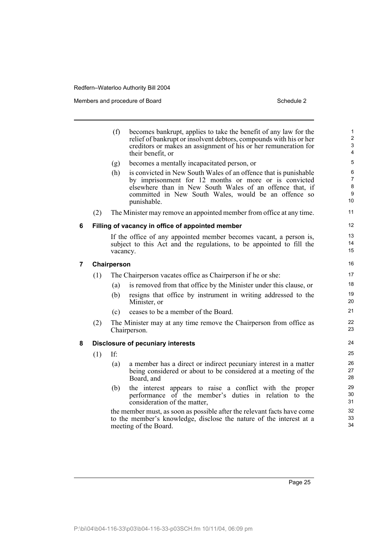Members and procedure of Board Schedule 2 and Schedule 2

|   |     | (f)         | becomes bankrupt, applies to take the benefit of any law for the<br>relief of bankrupt or insolvent debtors, compounds with his or her<br>creditors or makes an assignment of his or her remuneration for<br>their benefit, or | 1<br>$\overline{\mathbf{c}}$<br>3<br>4 |
|---|-----|-------------|--------------------------------------------------------------------------------------------------------------------------------------------------------------------------------------------------------------------------------|----------------------------------------|
|   |     | (g)         | becomes a mentally incapacitated person, or                                                                                                                                                                                    | 5                                      |
|   |     | (h)         | is convicted in New South Wales of an offence that is punishable                                                                                                                                                               | 6                                      |
|   |     |             | by imprisonment for 12 months or more or is convicted<br>elsewhere than in New South Wales of an offence that, if                                                                                                              | $\overline{7}$<br>8                    |
|   |     |             | committed in New South Wales, would be an offence so<br>punishable.                                                                                                                                                            | 9<br>10                                |
|   | (2) |             | The Minister may remove an appointed member from office at any time.                                                                                                                                                           | 11                                     |
| 6 |     |             | Filling of vacancy in office of appointed member                                                                                                                                                                               | 12                                     |
|   |     |             | If the office of any appointed member becomes vacant, a person is,                                                                                                                                                             | 13                                     |
|   |     |             | subject to this Act and the regulations, to be appointed to fill the                                                                                                                                                           | 14                                     |
|   |     | vacancy.    |                                                                                                                                                                                                                                | 15                                     |
| 7 |     | Chairperson |                                                                                                                                                                                                                                | 16                                     |
|   | (1) |             | The Chairperson vacates office as Chairperson if he or she:                                                                                                                                                                    | 17                                     |
|   |     | (a)         | is removed from that office by the Minister under this clause, or                                                                                                                                                              | 18                                     |
|   |     | (b)         | resigns that office by instrument in writing addressed to the<br>Minister, or                                                                                                                                                  | 19<br>20                               |
|   |     | (c)         | ceases to be a member of the Board.                                                                                                                                                                                            | 21                                     |
|   | (2) |             | The Minister may at any time remove the Chairperson from office as<br>Chairperson.                                                                                                                                             | 22<br>23                               |
| 8 |     |             | <b>Disclosure of pecuniary interests</b>                                                                                                                                                                                       | 24                                     |
|   | (1) | If:         |                                                                                                                                                                                                                                | 25                                     |
|   |     | (a)         | a member has a direct or indirect pecuniary interest in a matter<br>being considered or about to be considered at a meeting of the<br>Board, and                                                                               | 26<br>27<br>28                         |
|   |     | (b)         | the interest appears to raise a conflict with the proper<br>performance of the member's duties in relation to the<br>consideration of the matter,                                                                              | 29<br>30<br>31                         |
|   |     |             | the member must, as soon as possible after the relevant facts have come<br>to the member's knowledge, disclose the nature of the interest at a<br>meeting of the Board.                                                        | 32<br>33<br>34                         |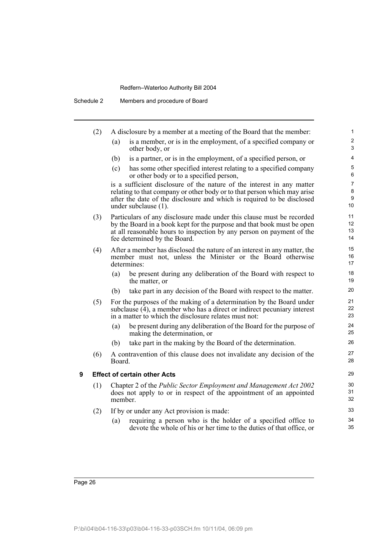| A disclosure by a member at a meeting of the Board that the member:<br>$\mathbf{1}$                                                                                                                                                                            |
|----------------------------------------------------------------------------------------------------------------------------------------------------------------------------------------------------------------------------------------------------------------|
| $\overline{c}$<br>is a member, or is in the employment, of a specified company or<br>3                                                                                                                                                                         |
| 4<br>is a partner, or is in the employment, of a specified person, or                                                                                                                                                                                          |
| $\mathbf 5$<br>has some other specified interest relating to a specified company<br>6                                                                                                                                                                          |
| $\overline{7}$<br>is a sufficient disclosure of the nature of the interest in any matter<br>8<br>relating to that company or other body or to that person which may arise<br>9<br>after the date of the disclosure and which is required to be disclosed<br>10 |
| 11<br>Particulars of any disclosure made under this clause must be recorded<br>12<br>by the Board in a book kept for the purpose and that book must be open<br>13<br>at all reasonable hours to inspection by any person on payment of the<br>14               |
| 15<br>After a member has disclosed the nature of an interest in any matter, the<br>16<br>member must not, unless the Minister or the Board otherwise<br>17                                                                                                     |
| 18<br>be present during any deliberation of the Board with respect to<br>19                                                                                                                                                                                    |
| 20<br>take part in any decision of the Board with respect to the matter.                                                                                                                                                                                       |
| 21<br>For the purposes of the making of a determination by the Board under<br>22<br>subclause (4), a member who has a direct or indirect pecuniary interest<br>23                                                                                              |
| 24<br>be present during any deliberation of the Board for the purpose of<br>25                                                                                                                                                                                 |
| 26<br>take part in the making by the Board of the determination.                                                                                                                                                                                               |
| 27<br>A contravention of this clause does not invalidate any decision of the<br>28                                                                                                                                                                             |
| 29                                                                                                                                                                                                                                                             |
| 30<br>Chapter 2 of the Public Sector Employment and Management Act 2002<br>31<br>does not apply to or in respect of the appointment of an appointed<br>32                                                                                                      |
| 33                                                                                                                                                                                                                                                             |
| 34<br>requiring a person who is the holder of a specified office to<br>35<br>devote the whole of his or her time to the duties of that office, or                                                                                                              |
|                                                                                                                                                                                                                                                                |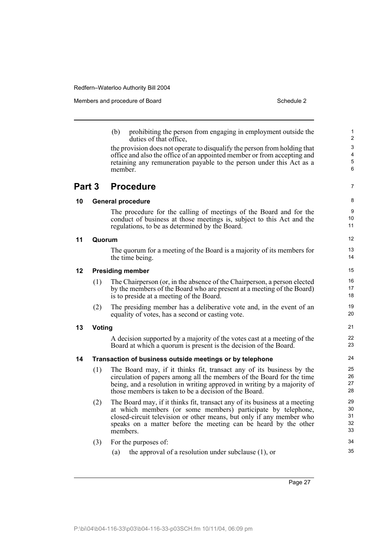(b) prohibiting the person from engaging in employment outside the duties of that office,

the provision does not operate to disqualify the person from holding that office and also the office of an appointed member or from accepting and retaining any remuneration payable to the person under this Act as a member.

7

21  $22$ 23

## **Part 3 Procedure**

#### **10 General procedure**

The procedure for the calling of meetings of the Board and for the conduct of business at those meetings is, subject to this Act and the regulations, to be as determined by the Board.

#### **11 Quorum**

The quorum for a meeting of the Board is a majority of its members for the time being.

#### **12 Presiding member**

- (1) The Chairperson (or, in the absence of the Chairperson, a person elected by the members of the Board who are present at a meeting of the Board) is to preside at a meeting of the Board.
- (2) The presiding member has a deliberative vote and, in the event of an equality of votes, has a second or casting vote.

#### **13 Voting**

A decision supported by a majority of the votes cast at a meeting of the Board at which a quorum is present is the decision of the Board.

#### **14 Transaction of business outside meetings or by telephone**

- (1) The Board may, if it thinks fit, transact any of its business by the circulation of papers among all the members of the Board for the time being, and a resolution in writing approved in writing by a majority of those members is taken to be a decision of the Board.
- (2) The Board may, if it thinks fit, transact any of its business at a meeting at which members (or some members) participate by telephone, closed-circuit television or other means, but only if any member who speaks on a matter before the meeting can be heard by the other members.
- (3) For the purposes of: (a) the approval of a resolution under subclause (1), or 34 35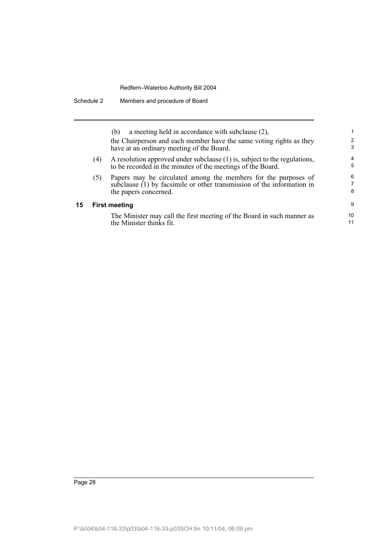Schedule 2 Members and procedure of Board

|     | a meeting held in accordance with subclause (2),<br>(b)                   |                |
|-----|---------------------------------------------------------------------------|----------------|
|     | the Chairperson and each member have the same voting rights as they       | 2              |
|     | have at an ordinary meeting of the Board.                                 | 3              |
| (4) | A resolution approved under subclause (1) is, subject to the regulations, | $\overline{4}$ |
|     | to be recorded in the minutes of the meetings of the Board.               | 5              |
| (5) | Papers may be circulated among the members for the purposes of            |                |
|     | subclause (1) by facsimile or other transmission of the information in    | 7              |
|     | the papers concerned.                                                     | 8              |
|     | First meeting                                                             | 9              |
|     | The Minister may call the first meeting of the Board in such manner as    | 10             |
|     | the Minister thinks fit.                                                  | 11             |

Page 28

**15 First meeting**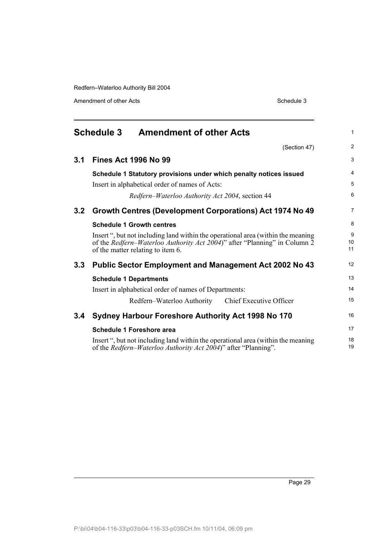Amendment of other Acts Schedule 3

<span id="page-38-0"></span>

| <b>Amendment of other Acts</b><br>Schedule 3 |                                                                                                                                                                                                            |                |
|----------------------------------------------|------------------------------------------------------------------------------------------------------------------------------------------------------------------------------------------------------------|----------------|
|                                              | (Section 47)                                                                                                                                                                                               | $\overline{2}$ |
| 3.1                                          | <b>Fines Act 1996 No 99</b>                                                                                                                                                                                | 3              |
|                                              | Schedule 1 Statutory provisions under which penalty notices issued                                                                                                                                         | 4              |
|                                              | Insert in alphabetical order of names of Acts:                                                                                                                                                             | 5              |
|                                              | Redfern–Waterloo Authority Act 2004, section 44                                                                                                                                                            | 6              |
| 3.2                                          | Growth Centres (Development Corporations) Act 1974 No 49                                                                                                                                                   | $\overline{7}$ |
|                                              | <b>Schedule 1 Growth centres</b>                                                                                                                                                                           | 8              |
|                                              | Insert ", but not including land within the operational area (within the meaning<br>of the <i>Redfern–Waterloo Authority Act 2004</i> )" after "Planning" in Column 2<br>of the matter relating to item 6. | 9<br>10<br>11  |
| 3.3                                          | <b>Public Sector Employment and Management Act 2002 No 43</b>                                                                                                                                              | 12             |
|                                              | <b>Schedule 1 Departments</b>                                                                                                                                                                              | 13             |
|                                              | Insert in alphabetical order of names of Departments:                                                                                                                                                      | 14             |
|                                              | Redfern–Waterloo Authority<br>Chief Executive Officer                                                                                                                                                      | 15             |
| 3.4                                          | Sydney Harbour Foreshore Authority Act 1998 No 170                                                                                                                                                         | 16             |
|                                              | Schedule 1 Foreshore area                                                                                                                                                                                  | 17             |
|                                              | Insert ", but not including land within the operational area (within the meaning<br>of the <i>Redfern–Waterloo Authority Act 2004</i> )" after "Planning".                                                 | 18<br>19       |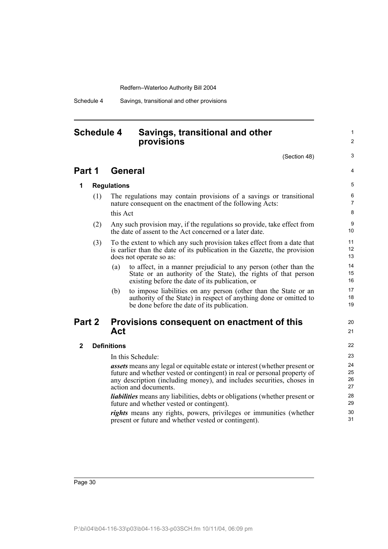Schedule 4 Savings, transitional and other provisions

## <span id="page-39-0"></span>**Schedule 4 Savings, transitional and other provisions**

(Section 48)

1  $\overline{2}$ 

3

 $\lambda$ 

20 21

## **Part 1 General**

| <b>Regulations</b> |                                                                                                                                     |  |  |
|--------------------|-------------------------------------------------------------------------------------------------------------------------------------|--|--|
| (1)                | The regulations may contain provisions of a savings or transitional<br>nature consequent on the enactment of the following Acts:    |  |  |
|                    | this Act                                                                                                                            |  |  |
| (2)                | Any such provision may, if the regulations so provide, take effect from<br>the date of assent to the Act concerned or a later date. |  |  |

- (3) To the extent to which any such provision takes effect from a date that is earlier than the date of its publication in the Gazette, the provision does not operate so as:
	- (a) to affect, in a manner prejudicial to any person (other than the State or an authority of the State), the rights of that person existing before the date of its publication, or
	- (b) to impose liabilities on any person (other than the State or an authority of the State) in respect of anything done or omitted to be done before the date of its publication.

## **Part 2 Provisions consequent on enactment of this Act**

#### **2 Definitions**

In this Schedule:

*assets* means any legal or equitable estate or interest (whether present or future and whether vested or contingent) in real or personal property of any description (including money), and includes securities, choses in action and documents.

*liabilities* means any liabilities, debts or obligations (whether present or future and whether vested or contingent).

*rights* means any rights, powers, privileges or immunities (whether present or future and whether vested or contingent).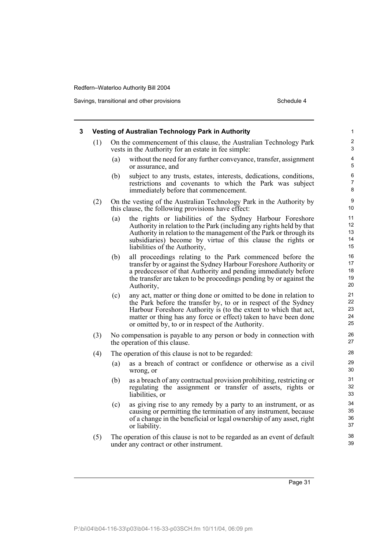Savings, transitional and other provisions Schedule 4

|     |                                                                                                                            | Vesting of Australian Technology Park in Authority                                                                                                                                                                                                                                                                                 | $\mathbf{1}$               |  |  |
|-----|----------------------------------------------------------------------------------------------------------------------------|------------------------------------------------------------------------------------------------------------------------------------------------------------------------------------------------------------------------------------------------------------------------------------------------------------------------------------|----------------------------|--|--|
| (1) |                                                                                                                            | On the commencement of this clause, the Australian Technology Park<br>vests in the Authority for an estate in fee simple:                                                                                                                                                                                                          | $\boldsymbol{2}$<br>3      |  |  |
|     | (a)                                                                                                                        | without the need for any further conveyance, transfer, assignment<br>or assurance, and                                                                                                                                                                                                                                             | 4<br>$\overline{5}$        |  |  |
|     | (b)                                                                                                                        | subject to any trusts, estates, interests, dedications, conditions,<br>restrictions and covenants to which the Park was subject<br>immediately before that commencement.                                                                                                                                                           | 6<br>$\overline{7}$<br>8   |  |  |
| (2) | On the vesting of the Australian Technology Park in the Authority by<br>this clause, the following provisions have effect: |                                                                                                                                                                                                                                                                                                                                    |                            |  |  |
|     | (a)                                                                                                                        | the rights or liabilities of the Sydney Harbour Foreshore<br>Authority in relation to the Park (including any rights held by that<br>Authority in relation to the management of the Park or through its<br>subsidiaries) become by virtue of this clause the rights or<br>liabilities of the Authority,                            | 11<br>12<br>13<br>14<br>15 |  |  |
|     | (b)                                                                                                                        | all proceedings relating to the Park commenced before the<br>transfer by or against the Sydney Harbour Foreshore Authority or<br>a predecessor of that Authority and pending immediately before<br>the transfer are taken to be proceedings pending by or against the<br>Authority,                                                | 16<br>17<br>18<br>19<br>20 |  |  |
|     | (c)                                                                                                                        | any act, matter or thing done or omitted to be done in relation to<br>the Park before the transfer by, to or in respect of the Sydney<br>Harbour Foreshore Authority is (to the extent to which that act,<br>matter or thing has any force or effect) taken to have been done<br>or omitted by, to or in respect of the Authority. | 21<br>22<br>23<br>24<br>25 |  |  |
| (3) |                                                                                                                            | No compensation is payable to any person or body in connection with<br>the operation of this clause.                                                                                                                                                                                                                               | 26<br>27                   |  |  |
| (4) | The operation of this clause is not to be regarded:                                                                        |                                                                                                                                                                                                                                                                                                                                    |                            |  |  |
|     | (a)                                                                                                                        | as a breach of contract or confidence or otherwise as a civil<br>wrong, or                                                                                                                                                                                                                                                         | 29<br>30                   |  |  |
|     | (b)                                                                                                                        | as a breach of any contractual provision prohibiting, restricting or<br>regulating the assignment or transfer of assets, rights or<br>liabilities, or                                                                                                                                                                              | 31<br>32<br>33             |  |  |
|     | (c)                                                                                                                        | as giving rise to any remedy by a party to an instrument, or as<br>causing or permitting the termination of any instrument, because<br>of a change in the beneficial or legal ownership of any asset, right<br>or liability.                                                                                                       | 34<br>35<br>36<br>37       |  |  |
| (5) |                                                                                                                            | The operation of this clause is not to be regarded as an event of default<br>under any contract or other instrument.                                                                                                                                                                                                               | 38<br>39                   |  |  |